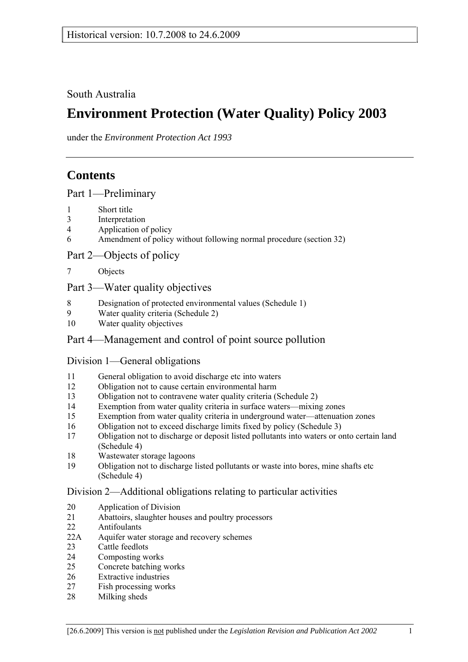South Australia

# **Environment Protection (Water Quality) Policy 2003**

under the *Environment Protection Act 1993*

# **Contents**

Part 1-Preliminary

- 1 Short title
- 3 Interpretation
- 4 Application of policy
- 6 Amendment of policy without following normal procedure (section 32)

Part 2—Objects of policy

7 Objects

## Part 3—Water quality objectives

- 8 Designation of protected environmental values (Schedule 1)
- 9 Water quality criteria (Schedule 2)
- 10 Water quality objectives

## Part 4—Management and control of point source pollution

## Division 1—General obligations

- 11 General obligation to avoid discharge etc into waters
- 12 Obligation not to cause certain environmental harm
- 13 Obligation not to contravene water quality criteria (Schedule 2)
- 14 Exemption from water quality criteria in surface waters—mixing zones
- 15 Exemption from water quality criteria in underground water—attenuation zones
- 16 Obligation not to exceed discharge limits fixed by policy (Schedule 3)
- 17 Obligation not to discharge or deposit listed pollutants into waters or onto certain land (Schedule 4)
- 18 Wastewater storage lagoons
- 19 Obligation not to discharge listed pollutants or waste into bores, mine shafts etc (Schedule 4)

## Division 2—Additional obligations relating to particular activities

- 20 Application of Division
- 21 Abattoirs, slaughter houses and poultry processors
- 22 Antifoulants
- 22A Aquifer water storage and recovery schemes
- 23 Cattle feedlots
- 24 Composting works
- 25 Concrete batching works
- 26 Extractive industries
- 27 Fish processing works
- 28 Milking sheds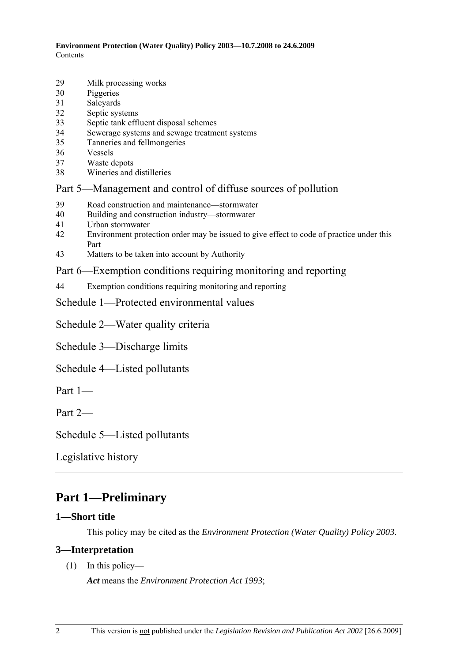| 29 | Milk processing works |  |
|----|-----------------------|--|
|    |                       |  |

- 30 Piggeries
- 31 Saleyards
- 32 Septic systems
- 33 Septic tank effluent disposal schemes
- 34 Sewerage systems and sewage treatment systems
- 35 Tanneries and fellmongeries
- 36 Vessels
- 37 Waste depots
- 38 Wineries and distilleries

## Part 5—Management and control of diffuse sources of pollution

- 39 Road construction and maintenance—stormwater
- 40 Building and construction industry—stormwater
- 41 Urban stormwater
- 42 Environment protection order may be issued to give effect to code of practice under this Part
- 43 Matters to be taken into account by Authority

## Part 6—Exemption conditions requiring monitoring and reporting

- 44 Exemption conditions requiring monitoring and reporting
- Schedule 1—Protected environmental values

Schedule 2—Water quality criteria

Schedule 3—Discharge limits

- Schedule 4—Listed pollutants
- Part  $1$ —

Part  $2-$ 

Schedule 5—Listed pollutants

Legislative history

## **Part 1—Preliminary**

#### **1—Short title**

This policy may be cited as the *Environment Protection (Water Quality) Policy 2003*.

#### **3—Interpretation**

 $(1)$  In this policy—

*Act* means the *Environment Protection Act 1993*;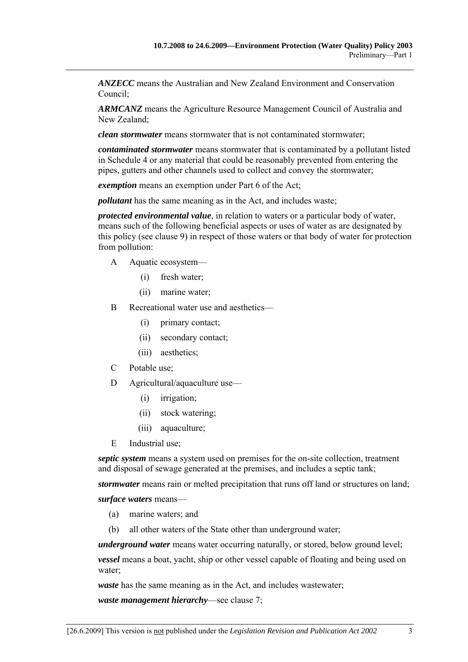*ANZECC* means the Australian and New Zealand Environment and Conservation Council;

*ARMCANZ* means the Agriculture Resource Management Council of Australia and New Zealand;

*clean stormwater* means stormwater that is not contaminated stormwater;

*contaminated stormwater* means stormwater that is contaminated by a pollutant listed in Schedule 4 or any material that could be reasonably prevented from entering the pipes, gutters and other channels used to collect and convey the stormwater;

*exemption* means an exemption under Part 6 of the Act;

*pollutant* has the same meaning as in the Act, and includes waste;

*protected environmental value*, in relation to waters or a particular body of water, means such of the following beneficial aspects or uses of water as are designated by this policy (see clause 9) in respect of those waters or that body of water for protection from pollution:

- A Aquatic ecosystem—
	- (i) fresh water;
	- (ii) marine water;
- B Recreational water use and aesthetics—
	- (i) primary contact;
	- (ii) secondary contact;
	- (iii) aesthetics;
- C Potable use;
- $D$  Agricultural/aquaculture use—
	- (i) irrigation;
	- (ii) stock watering;
	- (iii) aquaculture;
- E Industrial use;

*septic system* means a system used on premises for the on-site collection, treatment and disposal of sewage generated at the premises, and includes a septic tank;

*stormwater* means rain or melted precipitation that runs off land or structures on land;

surface waters means-

- (a) marine waters; and
- (b) all other waters of the State other than underground water;

*underground water* means water occurring naturally, or stored, below ground level;

*vessel* means a boat, yacht, ship or other vessel capable of floating and being used on water;

*waste* has the same meaning as in the Act, and includes wastewater;

*waste management hierarchy*—see clause 7;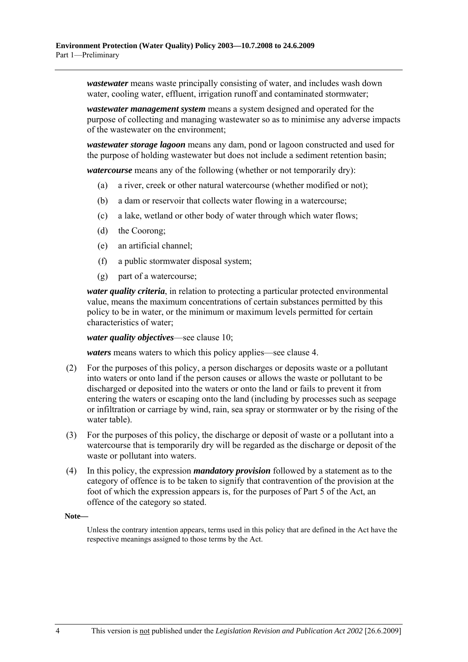*wastewater* means waste principally consisting of water, and includes wash down water, cooling water, effluent, irrigation runoff and contaminated stormwater;

*wastewater management system* means a system designed and operated for the purpose of collecting and managing wastewater so as to minimise any adverse impacts of the wastewater on the environment;

*wastewater storage lagoon* means any dam, pond or lagoon constructed and used for the purpose of holding wastewater but does not include a sediment retention basin;

*watercourse* means any of the following (whether or not temporarily dry):

- (a) a river, creek or other natural watercourse (whether modified or not);
- (b) a dam or reservoir that collects water flowing in a watercourse;
- (c) a lake, wetland or other body of water through which water flows;
- (d) the Coorong;
- (e) an artificial channel;
- (f) a public stormwater disposal system;
- (g) part of a watercourse;

*water quality criteria*, in relation to protecting a particular protected environmental value, means the maximum concentrations of certain substances permitted by this policy to be in water, or the minimum or maximum levels permitted for certain characteristics of water;

*water quality objectives*—see clause 10;

*waters* means waters to which this policy applies—see clause 4.

- (2) For the purposes of this policy, a person discharges or deposits waste or a pollutant into waters or onto land if the person causes or allows the waste or pollutant to be discharged or deposited into the waters or onto the land or fails to prevent it from entering the waters or escaping onto the land (including by processes such as seepage or infiltration or carriage by wind, rain, sea spray or stormwater or by the rising of the water table).
- (3) For the purposes of this policy, the discharge or deposit of waste or a pollutant into a watercourse that is temporarily dry will be regarded as the discharge or deposit of the waste or pollutant into waters.
- (4) In this policy, the expression *mandatory provision* followed by a statement as to the category of offence is to be taken to signify that contravention of the provision at the foot of which the expression appears is, for the purposes of Part 5 of the Act, an offence of the category so stated.

#### **Note—**

Unless the contrary intention appears, terms used in this policy that are defined in the Act have the respective meanings assigned to those terms by the Act.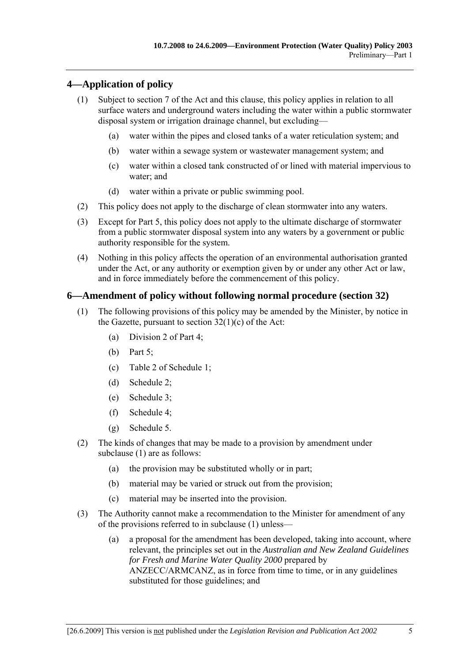### **4—Application of policy**

- (1) Subject to section 7 of the Act and this clause, this policy applies in relation to all surface waters and underground waters including the water within a public stormwater disposal system or irrigation drainage channel, but excluding—
	- (a) water within the pipes and closed tanks of a water reticulation system; and
	- (b) water within a sewage system or wastewater management system; and
	- (c) water within a closed tank constructed of or lined with material impervious to water; and
	- (d) water within a private or public swimming pool.
- (2) This policy does not apply to the discharge of clean stormwater into any waters.
- (3) Except for Part 5, this policy does not apply to the ultimate discharge of stormwater from a public stormwater disposal system into any waters by a government or public authority responsible for the system.
- (4) Nothing in this policy affects the operation of an environmental authorisation granted under the Act, or any authority or exemption given by or under any other Act or law, and in force immediately before the commencement of this policy.

#### **6—Amendment of policy without following normal procedure (section 32)**

- (1) The following provisions of this policy may be amended by the Minister, by notice in the Gazette, pursuant to section 32(1)(c) of the Act:
	- (a) Division 2 of Part 4;
	- (b) Part 5;
	- (c) Table 2 of Schedule 1;
	- (d) Schedule 2;
	- (e) Schedule 3;
	- (f) Schedule 4;
	- (g) Schedule 5.
- (2) The kinds of changes that may be made to a provision by amendment under subclause (1) are as follows:
	- (a) the provision may be substituted wholly or in part;
	- (b) material may be varied or struck out from the provision;
	- (c) material may be inserted into the provision.
- (3) The Authority cannot make a recommendation to the Minister for amendment of any of the provisions referred to in subclause  $(1)$  unless—
	- (a) a proposal for the amendment has been developed, taking into account, where relevant, the principles set out in the *Australian and New Zealand Guidelines for Fresh and Marine Water Quality 2000* prepared by ANZECC/ARMCANZ, as in force from time to time, or in any guidelines substituted for those guidelines; and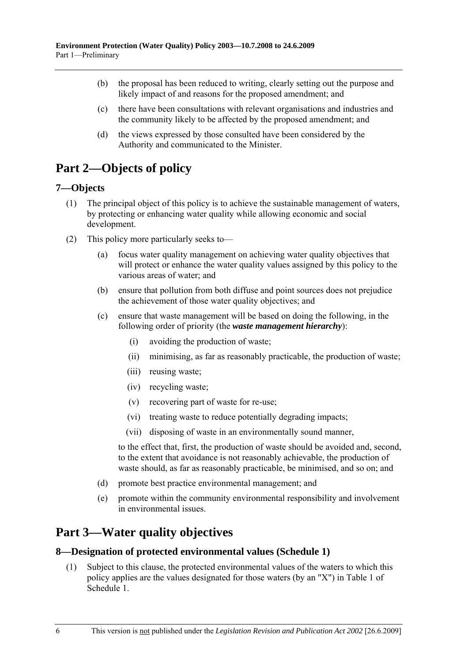- (b) the proposal has been reduced to writing, clearly setting out the purpose and likely impact of and reasons for the proposed amendment; and
- (c) there have been consultations with relevant organisations and industries and the community likely to be affected by the proposed amendment; and
- (d) the views expressed by those consulted have been considered by the Authority and communicated to the Minister.

# **Part 2—Objects of policy**

### **7—Objects**

- (1) The principal object of this policy is to achieve the sustainable management of waters, by protecting or enhancing water quality while allowing economic and social development.
- (2) This policy more particularly seeks to  $\overline{\phantom{a}}$ 
	- (a) focus water quality management on achieving water quality objectives that will protect or enhance the water quality values assigned by this policy to the various areas of water; and
	- (b) ensure that pollution from both diffuse and point sources does not prejudice the achievement of those water quality objectives; and
	- (c) ensure that waste management will be based on doing the following, in the following order of priority (the *waste management hierarchy*):
		- (i) avoiding the production of waste;
		- (ii) minimising, as far as reasonably practicable, the production of waste;
		- (iii) reusing waste;
		- (iv) recycling waste;
		- (v) recovering part of waste for re-use;
		- (vi) treating waste to reduce potentially degrading impacts;
		- (vii) disposing of waste in an environmentally sound manner,

to the effect that, first, the production of waste should be avoided and, second, to the extent that avoidance is not reasonably achievable, the production of waste should, as far as reasonably practicable, be minimised, and so on; and

- (d) promote best practice environmental management; and
- (e) promote within the community environmental responsibility and involvement in environmental issues.

# **Part 3—Water quality objectives**

#### **8—Designation of protected environmental values (Schedule 1)**

 (1) Subject to this clause, the protected environmental values of the waters to which this policy applies are the values designated for those waters (by an "X") in Table 1 of Schedule 1.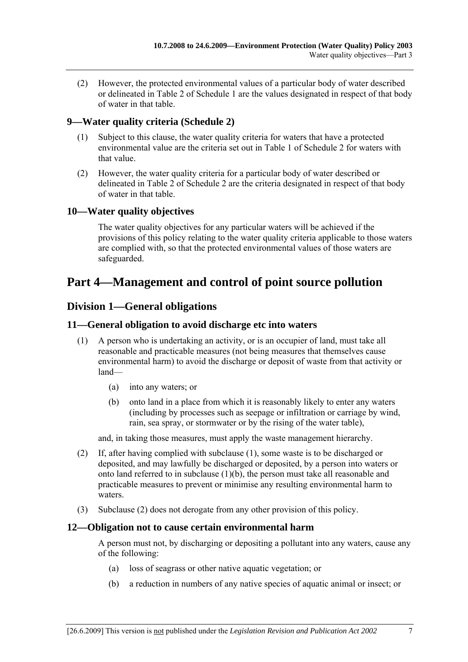(2) However, the protected environmental values of a particular body of water described or delineated in Table 2 of Schedule 1 are the values designated in respect of that body of water in that table.

### **9—Water quality criteria (Schedule 2)**

- (1) Subject to this clause, the water quality criteria for waters that have a protected environmental value are the criteria set out in Table 1 of Schedule 2 for waters with that value.
- (2) However, the water quality criteria for a particular body of water described or delineated in Table 2 of Schedule 2 are the criteria designated in respect of that body of water in that table.

#### **10—Water quality objectives**

The water quality objectives for any particular waters will be achieved if the provisions of this policy relating to the water quality criteria applicable to those waters are complied with, so that the protected environmental values of those waters are safeguarded.

## **Part 4—Management and control of point source pollution**

### **Division 1—General obligations**

#### **11—General obligation to avoid discharge etc into waters**

- (1) A person who is undertaking an activity, or is an occupier of land, must take all reasonable and practicable measures (not being measures that themselves cause environmental harm) to avoid the discharge or deposit of waste from that activity or  $land$ 
	- (a) into any waters; or
	- (b) onto land in a place from which it is reasonably likely to enter any waters (including by processes such as seepage or infiltration or carriage by wind, rain, sea spray, or stormwater or by the rising of the water table),

and, in taking those measures, must apply the waste management hierarchy.

- (2) If, after having complied with subclause (1), some waste is to be discharged or deposited, and may lawfully be discharged or deposited, by a person into waters or onto land referred to in subclause (1)(b), the person must take all reasonable and practicable measures to prevent or minimise any resulting environmental harm to waters.
- (3) Subclause (2) does not derogate from any other provision of this policy.

#### **12—Obligation not to cause certain environmental harm**

A person must not, by discharging or depositing a pollutant into any waters, cause any of the following:

- (a) loss of seagrass or other native aquatic vegetation; or
- (b) a reduction in numbers of any native species of aquatic animal or insect; or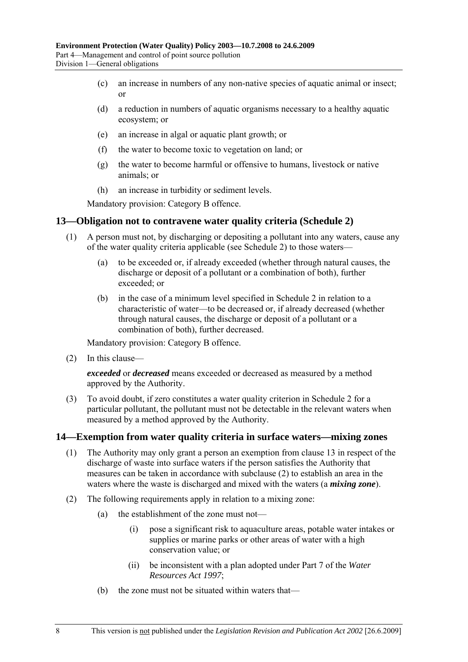- (c) an increase in numbers of any non-native species of aquatic animal or insect; or
- (d) a reduction in numbers of aquatic organisms necessary to a healthy aquatic ecosystem; or
- (e) an increase in algal or aquatic plant growth; or
- (f) the water to become toxic to vegetation on land; or
- (g) the water to become harmful or offensive to humans, livestock or native animals; or
- (h) an increase in turbidity or sediment levels.

Mandatory provision: Category B offence.

#### **13—Obligation not to contravene water quality criteria (Schedule 2)**

- (1) A person must not, by discharging or depositing a pollutant into any waters, cause any of the water quality criteria applicable (see Schedule 2) to those waters—
	- (a) to be exceeded or, if already exceeded (whether through natural causes, the discharge or deposit of a pollutant or a combination of both), further exceeded; or
	- (b) in the case of a minimum level specified in Schedule 2 in relation to a characteristic of water—to be decreased or, if already decreased (whether through natural causes, the discharge or deposit of a pollutant or a combination of both), further decreased.

Mandatory provision: Category B offence.

 $(2)$  In this clause—

*exceeded* or *decreased* means exceeded or decreased as measured by a method approved by the Authority.

 (3) To avoid doubt, if zero constitutes a water quality criterion in Schedule 2 for a particular pollutant, the pollutant must not be detectable in the relevant waters when measured by a method approved by the Authority.

#### **14—Exemption from water quality criteria in surface waters—mixing zones**

- (1) The Authority may only grant a person an exemption from clause 13 in respect of the discharge of waste into surface waters if the person satisfies the Authority that measures can be taken in accordance with subclause (2) to establish an area in the waters where the waste is discharged and mixed with the waters (a *mixing zone*).
- (2) The following requirements apply in relation to a mixing zone:
	- (a) the establishment of the zone must not—
		- (i) pose a significant risk to aquaculture areas, potable water intakes or supplies or marine parks or other areas of water with a high conservation value; or
		- (ii) be inconsistent with a plan adopted under Part 7 of the *Water Resources Act 1997*;
	- (b) the zone must not be situated within waters that—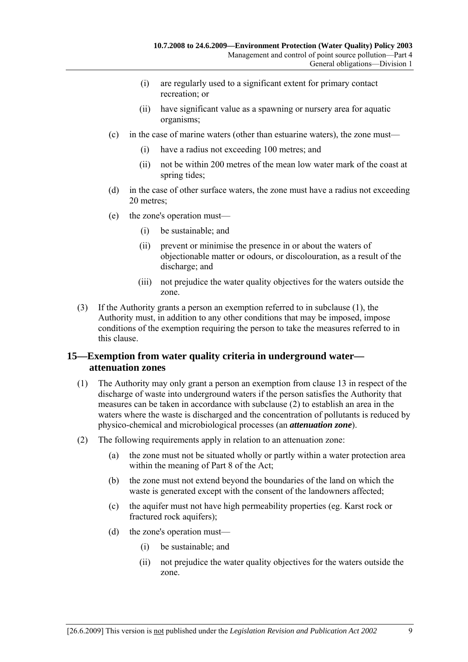- (i) are regularly used to a significant extent for primary contact recreation; or
- (ii) have significant value as a spawning or nursery area for aquatic organisms;
- $(c)$  in the case of marine waters (other than estuarine waters), the zone must—
	- (i) have a radius not exceeding 100 metres; and
	- (ii) not be within 200 metres of the mean low water mark of the coast at spring tides;
- (d) in the case of other surface waters, the zone must have a radius not exceeding 20 metres;
- $(e)$  the zone's operation must—
	- (i) be sustainable; and
	- (ii) prevent or minimise the presence in or about the waters of objectionable matter or odours, or discolouration, as a result of the discharge; and
	- (iii) not prejudice the water quality objectives for the waters outside the zone.
- (3) If the Authority grants a person an exemption referred to in subclause (1), the Authority must, in addition to any other conditions that may be imposed, impose conditions of the exemption requiring the person to take the measures referred to in this clause.

#### **15—Exemption from water quality criteria in underground water attenuation zones**

- (1) The Authority may only grant a person an exemption from clause 13 in respect of the discharge of waste into underground waters if the person satisfies the Authority that measures can be taken in accordance with subclause (2) to establish an area in the waters where the waste is discharged and the concentration of pollutants is reduced by physico-chemical and microbiological processes (an *attenuation zone*).
- (2) The following requirements apply in relation to an attenuation zone:
	- (a) the zone must not be situated wholly or partly within a water protection area within the meaning of Part 8 of the Act;
	- (b) the zone must not extend beyond the boundaries of the land on which the waste is generated except with the consent of the landowners affected;
	- (c) the aquifer must not have high permeability properties (eg. Karst rock or fractured rock aquifers);
	- (d) the zone's operation must—
		- (i) be sustainable; and
		- (ii) not prejudice the water quality objectives for the waters outside the zone.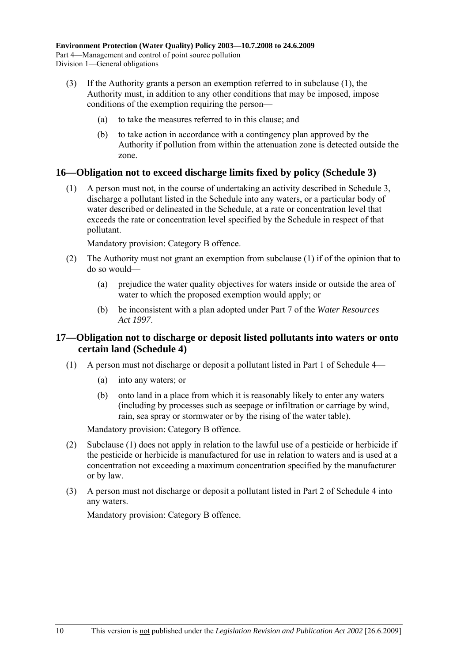- (3) If the Authority grants a person an exemption referred to in subclause (1), the Authority must, in addition to any other conditions that may be imposed, impose conditions of the exemption requiring the person–
	- (a) to take the measures referred to in this clause; and
	- (b) to take action in accordance with a contingency plan approved by the Authority if pollution from within the attenuation zone is detected outside the zone.

#### **16—Obligation not to exceed discharge limits fixed by policy (Schedule 3)**

 (1) A person must not, in the course of undertaking an activity described in Schedule 3, discharge a pollutant listed in the Schedule into any waters, or a particular body of water described or delineated in the Schedule, at a rate or concentration level that exceeds the rate or concentration level specified by the Schedule in respect of that pollutant.

Mandatory provision: Category B offence.

- (2) The Authority must not grant an exemption from subclause (1) if of the opinion that to do so would—
	- (a) prejudice the water quality objectives for waters inside or outside the area of water to which the proposed exemption would apply; or
	- (b) be inconsistent with a plan adopted under Part 7 of the *Water Resources Act 1997*.

#### **17—Obligation not to discharge or deposit listed pollutants into waters or onto certain land (Schedule 4)**

- (1) A person must not discharge or deposit a pollutant listed in Part 1 of Schedule  $4$ 
	- (a) into any waters; or
	- (b) onto land in a place from which it is reasonably likely to enter any waters (including by processes such as seepage or infiltration or carriage by wind, rain, sea spray or stormwater or by the rising of the water table).

Mandatory provision: Category B offence.

- (2) Subclause (1) does not apply in relation to the lawful use of a pesticide or herbicide if the pesticide or herbicide is manufactured for use in relation to waters and is used at a concentration not exceeding a maximum concentration specified by the manufacturer or by law.
- (3) A person must not discharge or deposit a pollutant listed in Part 2 of Schedule 4 into any waters.

Mandatory provision: Category B offence.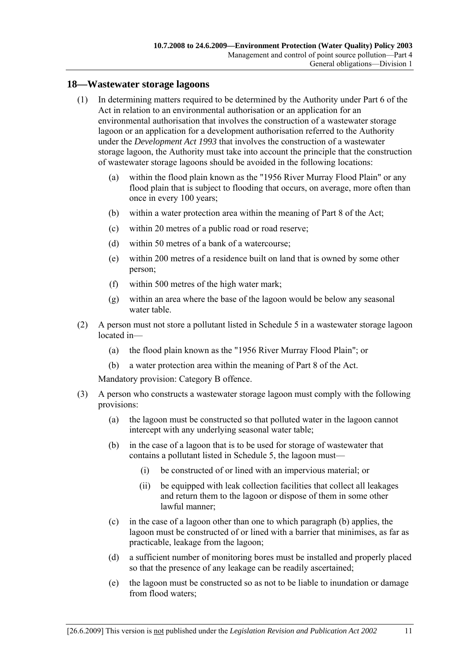#### **18—Wastewater storage lagoons**

- (1) In determining matters required to be determined by the Authority under Part 6 of the Act in relation to an environmental authorisation or an application for an environmental authorisation that involves the construction of a wastewater storage lagoon or an application for a development authorisation referred to the Authority under the *Development Act 1993* that involves the construction of a wastewater storage lagoon, the Authority must take into account the principle that the construction of wastewater storage lagoons should be avoided in the following locations:
	- (a) within the flood plain known as the "1956 River Murray Flood Plain" or any flood plain that is subject to flooding that occurs, on average, more often than once in every 100 years;
	- (b) within a water protection area within the meaning of Part 8 of the Act;
	- (c) within 20 metres of a public road or road reserve;
	- (d) within 50 metres of a bank of a watercourse;
	- (e) within 200 metres of a residence built on land that is owned by some other person;
	- (f) within 500 metres of the high water mark;
	- (g) within an area where the base of the lagoon would be below any seasonal water table.
- (2) A person must not store a pollutant listed in Schedule 5 in a wastewater storage lagoon located in-
	- (a) the flood plain known as the "1956 River Murray Flood Plain"; or
	- (b) a water protection area within the meaning of Part 8 of the Act.

Mandatory provision: Category B offence.

- (3) A person who constructs a wastewater storage lagoon must comply with the following provisions:
	- (a) the lagoon must be constructed so that polluted water in the lagoon cannot intercept with any underlying seasonal water table;
	- (b) in the case of a lagoon that is to be used for storage of wastewater that contains a pollutant listed in Schedule 5, the lagoon must—
		- (i) be constructed of or lined with an impervious material; or
		- (ii) be equipped with leak collection facilities that collect all leakages and return them to the lagoon or dispose of them in some other lawful manner;
	- (c) in the case of a lagoon other than one to which paragraph (b) applies, the lagoon must be constructed of or lined with a barrier that minimises, as far as practicable, leakage from the lagoon;
	- (d) a sufficient number of monitoring bores must be installed and properly placed so that the presence of any leakage can be readily ascertained;
	- (e) the lagoon must be constructed so as not to be liable to inundation or damage from flood waters;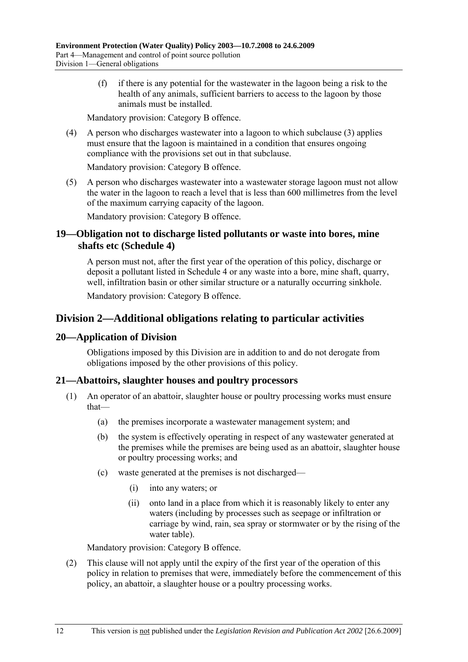(f) if there is any potential for the wastewater in the lagoon being a risk to the health of any animals, sufficient barriers to access to the lagoon by those animals must be installed.

Mandatory provision: Category B offence.

 (4) A person who discharges wastewater into a lagoon to which subclause (3) applies must ensure that the lagoon is maintained in a condition that ensures ongoing compliance with the provisions set out in that subclause.

Mandatory provision: Category B offence.

 (5) A person who discharges wastewater into a wastewater storage lagoon must not allow the water in the lagoon to reach a level that is less than 600 millimetres from the level of the maximum carrying capacity of the lagoon.

Mandatory provision: Category B offence.

### **19—Obligation not to discharge listed pollutants or waste into bores, mine shafts etc (Schedule 4)**

A person must not, after the first year of the operation of this policy, discharge or deposit a pollutant listed in Schedule 4 or any waste into a bore, mine shaft, quarry, well, infiltration basin or other similar structure or a naturally occurring sinkhole.

Mandatory provision: Category B offence.

## **Division 2—Additional obligations relating to particular activities**

#### **20—Application of Division**

Obligations imposed by this Division are in addition to and do not derogate from obligations imposed by the other provisions of this policy.

#### **21—Abattoirs, slaughter houses and poultry processors**

- (1) An operator of an abattoir, slaughter house or poultry processing works must ensure that-
	- (a) the premises incorporate a wastewater management system; and
	- (b) the system is effectively operating in respect of any wastewater generated at the premises while the premises are being used as an abattoir, slaughter house or poultry processing works; and
	- $(c)$  waste generated at the premises is not discharged—
		- (i) into any waters; or
		- (ii) onto land in a place from which it is reasonably likely to enter any waters (including by processes such as seepage or infiltration or carriage by wind, rain, sea spray or stormwater or by the rising of the water table).

Mandatory provision: Category B offence.

 (2) This clause will not apply until the expiry of the first year of the operation of this policy in relation to premises that were, immediately before the commencement of this policy, an abattoir, a slaughter house or a poultry processing works.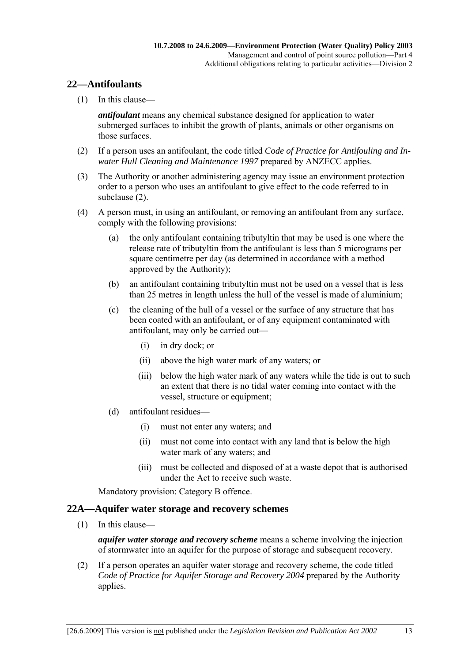#### **22—Antifoulants**

 $(1)$  In this clause—

*antifoulant* means any chemical substance designed for application to water submerged surfaces to inhibit the growth of plants, animals or other organisms on those surfaces.

- (2) If a person uses an antifoulant, the code titled *Code of Practice for Antifouling and Inwater Hull Cleaning and Maintenance 1997* prepared by ANZECC applies.
- (3) The Authority or another administering agency may issue an environment protection order to a person who uses an antifoulant to give effect to the code referred to in subclause (2).
- (4) A person must, in using an antifoulant, or removing an antifoulant from any surface, comply with the following provisions:
	- (a) the only antifoulant containing tributyltin that may be used is one where the release rate of tributyltin from the antifoulant is less than 5 micrograms per square centimetre per day (as determined in accordance with a method approved by the Authority);
	- (b) an antifoulant containing tributyltin must not be used on a vessel that is less than 25 metres in length unless the hull of the vessel is made of aluminium;
	- (c) the cleaning of the hull of a vessel or the surface of any structure that has been coated with an antifoulant, or of any equipment contaminated with antifoulant, may only be carried out—
		- (i) in dry dock; or
		- (ii) above the high water mark of any waters; or
		- (iii) below the high water mark of any waters while the tide is out to such an extent that there is no tidal water coming into contact with the vessel, structure or equipment;
	- $(d)$  antifoulant residues  $\overline{\phantom{a}}$ 
		- (i) must not enter any waters; and
		- (ii) must not come into contact with any land that is below the high water mark of any waters; and
		- (iii) must be collected and disposed of at a waste depot that is authorised under the Act to receive such waste.

Mandatory provision: Category B offence.

#### **22A—Aquifer water storage and recovery schemes**

 $(1)$  In this clause—

*aquifer water storage and recovery scheme* means a scheme involving the injection of stormwater into an aquifer for the purpose of storage and subsequent recovery.

 (2) If a person operates an aquifer water storage and recovery scheme, the code titled *Code of Practice for Aquifer Storage and Recovery 2004* prepared by the Authority applies.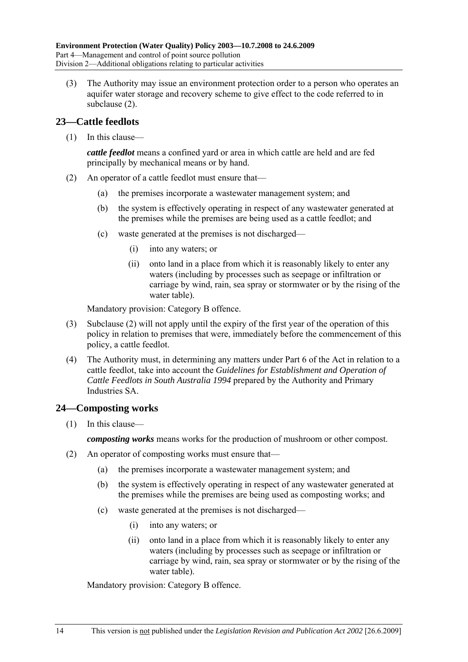(3) The Authority may issue an environment protection order to a person who operates an aquifer water storage and recovery scheme to give effect to the code referred to in subclause (2).

#### **23—Cattle feedlots**

 $(1)$  In this clause—

*cattle feedlot* means a confined yard or area in which cattle are held and are fed principally by mechanical means or by hand.

- (2) An operator of a cattle feedlot must ensure that—
	- (a) the premises incorporate a wastewater management system; and
	- (b) the system is effectively operating in respect of any wastewater generated at the premises while the premises are being used as a cattle feedlot; and
	- $(c)$  waste generated at the premises is not discharged—
		- (i) into any waters; or
		- (ii) onto land in a place from which it is reasonably likely to enter any waters (including by processes such as seepage or infiltration or carriage by wind, rain, sea spray or stormwater or by the rising of the water table).

Mandatory provision: Category B offence.

- (3) Subclause (2) will not apply until the expiry of the first year of the operation of this policy in relation to premises that were, immediately before the commencement of this policy, a cattle feedlot.
- (4) The Authority must, in determining any matters under Part 6 of the Act in relation to a cattle feedlot, take into account the *Guidelines for Establishment and Operation of Cattle Feedlots in South Australia 1994* prepared by the Authority and Primary Industries SA.

#### **24—Composting works**

 $(1)$  In this clause—

*composting works* means works for the production of mushroom or other compost.

- (2) An operator of composting works must ensure that—
	- (a) the premises incorporate a wastewater management system; and
	- (b) the system is effectively operating in respect of any wastewater generated at the premises while the premises are being used as composting works; and
	- $(c)$  waste generated at the premises is not discharged—
		- (i) into any waters; or
		- (ii) onto land in a place from which it is reasonably likely to enter any waters (including by processes such as seepage or infiltration or carriage by wind, rain, sea spray or stormwater or by the rising of the water table).

Mandatory provision: Category B offence.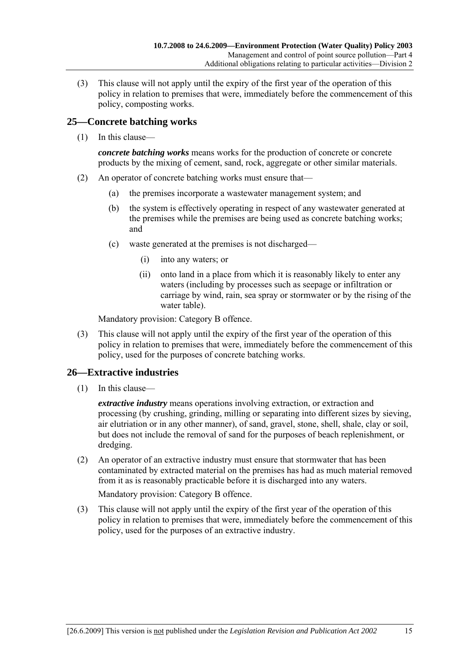(3) This clause will not apply until the expiry of the first year of the operation of this policy in relation to premises that were, immediately before the commencement of this policy, composting works.

### **25—Concrete batching works**

 $(1)$  In this clause—

*concrete batching works* means works for the production of concrete or concrete products by the mixing of cement, sand, rock, aggregate or other similar materials.

- (2) An operator of concrete batching works must ensure that—
	- (a) the premises incorporate a wastewater management system; and
	- (b) the system is effectively operating in respect of any wastewater generated at the premises while the premises are being used as concrete batching works; and
	- $(c)$  waste generated at the premises is not discharged—
		- (i) into any waters; or
		- (ii) onto land in a place from which it is reasonably likely to enter any waters (including by processes such as seepage or infiltration or carriage by wind, rain, sea spray or stormwater or by the rising of the water table).

Mandatory provision: Category B offence.

 (3) This clause will not apply until the expiry of the first year of the operation of this policy in relation to premises that were, immediately before the commencement of this policy, used for the purposes of concrete batching works.

## **26—Extractive industries**

 $(1)$  In this clause—

*extractive industry* means operations involving extraction, or extraction and processing (by crushing, grinding, milling or separating into different sizes by sieving, air elutriation or in any other manner), of sand, gravel, stone, shell, shale, clay or soil, but does not include the removal of sand for the purposes of beach replenishment, or dredging.

 (2) An operator of an extractive industry must ensure that stormwater that has been contaminated by extracted material on the premises has had as much material removed from it as is reasonably practicable before it is discharged into any waters.

Mandatory provision: Category B offence.

 (3) This clause will not apply until the expiry of the first year of the operation of this policy in relation to premises that were, immediately before the commencement of this policy, used for the purposes of an extractive industry.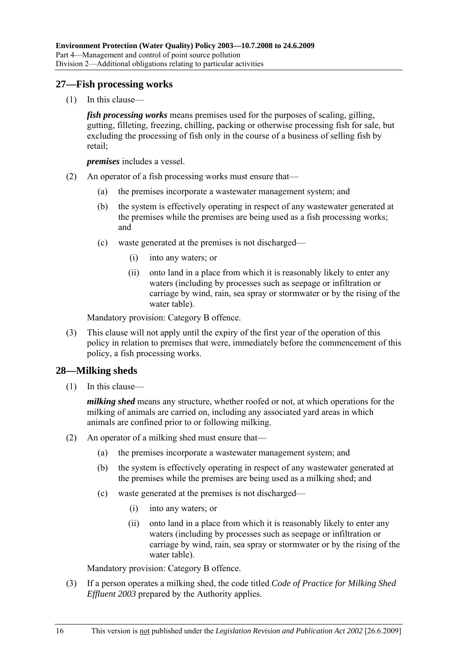#### **27—Fish processing works**

 $(1)$  In this clause—

*fish processing works* means premises used for the purposes of scaling, gilling, gutting, filleting, freezing, chilling, packing or otherwise processing fish for sale, but excluding the processing of fish only in the course of a business of selling fish by retail;

*premises* includes a vessel.

- (2) An operator of a fish processing works must ensure that—
	- (a) the premises incorporate a wastewater management system; and
	- (b) the system is effectively operating in respect of any wastewater generated at the premises while the premises are being used as a fish processing works; and
	- $(c)$  waste generated at the premises is not discharged—
		- (i) into any waters; or
		- (ii) onto land in a place from which it is reasonably likely to enter any waters (including by processes such as seepage or infiltration or carriage by wind, rain, sea spray or stormwater or by the rising of the water table).

Mandatory provision: Category B offence.

 (3) This clause will not apply until the expiry of the first year of the operation of this policy in relation to premises that were, immediately before the commencement of this policy, a fish processing works.

#### **28—Milking sheds**

 $(1)$  In this clause—

*milking shed* means any structure, whether roofed or not, at which operations for the milking of animals are carried on, including any associated yard areas in which animals are confined prior to or following milking.

- (2) An operator of a milking shed must ensure that—
	- (a) the premises incorporate a wastewater management system; and
	- (b) the system is effectively operating in respect of any wastewater generated at the premises while the premises are being used as a milking shed; and
	- $(c)$  waste generated at the premises is not discharged—
		- (i) into any waters; or
		- (ii) onto land in a place from which it is reasonably likely to enter any waters (including by processes such as seepage or infiltration or carriage by wind, rain, sea spray or stormwater or by the rising of the water table).

Mandatory provision: Category B offence.

 (3) If a person operates a milking shed, the code titled *Code of Practice for Milking Shed Effluent 2003* prepared by the Authority applies.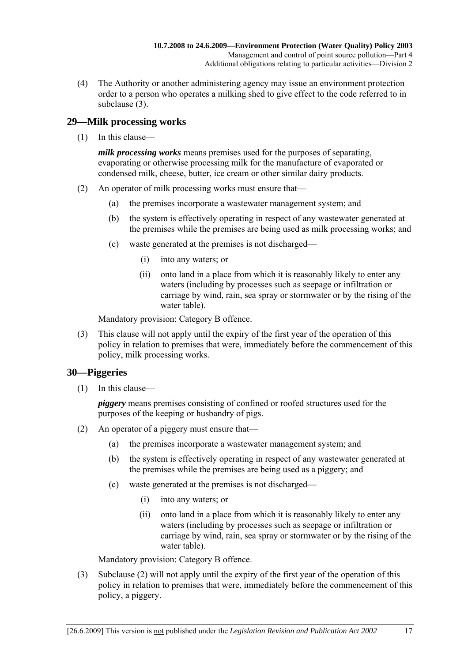(4) The Authority or another administering agency may issue an environment protection order to a person who operates a milking shed to give effect to the code referred to in subclause (3).

### **29—Milk processing works**

 $(1)$  In this clause—

*milk processing works* means premises used for the purposes of separating, evaporating or otherwise processing milk for the manufacture of evaporated or condensed milk, cheese, butter, ice cream or other similar dairy products.

- (2) An operator of milk processing works must ensure that—
	- (a) the premises incorporate a wastewater management system; and
	- (b) the system is effectively operating in respect of any wastewater generated at the premises while the premises are being used as milk processing works; and
	- $(c)$  waste generated at the premises is not discharged—
		- (i) into any waters; or
		- (ii) onto land in a place from which it is reasonably likely to enter any waters (including by processes such as seepage or infiltration or carriage by wind, rain, sea spray or stormwater or by the rising of the water table).

Mandatory provision: Category B offence.

 (3) This clause will not apply until the expiry of the first year of the operation of this policy in relation to premises that were, immediately before the commencement of this policy, milk processing works.

## **30—Piggeries**

 $(1)$  In this clause—

*piggery* means premises consisting of confined or roofed structures used for the purposes of the keeping or husbandry of pigs.

- (2) An operator of a piggery must ensure that—
	- (a) the premises incorporate a wastewater management system; and
	- (b) the system is effectively operating in respect of any wastewater generated at the premises while the premises are being used as a piggery; and
	- $(c)$  waste generated at the premises is not discharged—
		- (i) into any waters; or
		- (ii) onto land in a place from which it is reasonably likely to enter any waters (including by processes such as seepage or infiltration or carriage by wind, rain, sea spray or stormwater or by the rising of the water table).

Mandatory provision: Category B offence.

 (3) Subclause (2) will not apply until the expiry of the first year of the operation of this policy in relation to premises that were, immediately before the commencement of this policy, a piggery.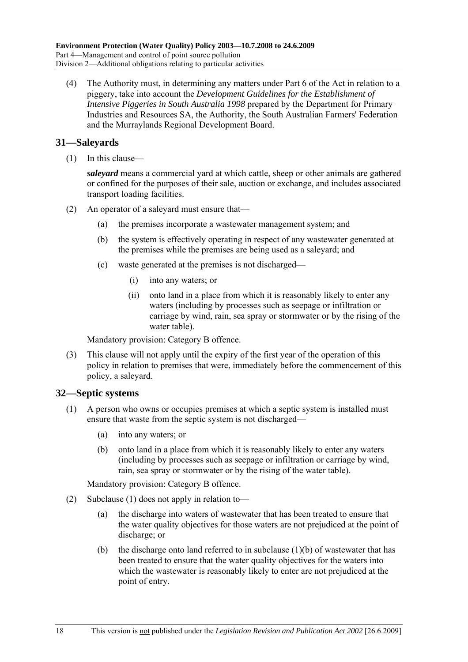(4) The Authority must, in determining any matters under Part 6 of the Act in relation to a piggery, take into account the *Development Guidelines for the Establishment of Intensive Piggeries in South Australia 1998* prepared by the Department for Primary Industries and Resources SA, the Authority, the South Australian Farmers' Federation and the Murraylands Regional Development Board.

### **31—Saleyards**

 $(1)$  In this clause—

*saleyard* means a commercial yard at which cattle, sheep or other animals are gathered or confined for the purposes of their sale, auction or exchange, and includes associated transport loading facilities.

- (2) An operator of a saleyard must ensure that—
	- (a) the premises incorporate a wastewater management system; and
	- (b) the system is effectively operating in respect of any wastewater generated at the premises while the premises are being used as a saleyard; and
	- $(c)$  waste generated at the premises is not discharged—
		- (i) into any waters; or
		- (ii) onto land in a place from which it is reasonably likely to enter any waters (including by processes such as seepage or infiltration or carriage by wind, rain, sea spray or stormwater or by the rising of the water table).

Mandatory provision: Category B offence.

 (3) This clause will not apply until the expiry of the first year of the operation of this policy in relation to premises that were, immediately before the commencement of this policy, a saleyard.

#### **32—Septic systems**

- (1) A person who owns or occupies premises at which a septic system is installed must ensure that waste from the septic system is not discharged—
	- (a) into any waters; or
	- (b) onto land in a place from which it is reasonably likely to enter any waters (including by processes such as seepage or infiltration or carriage by wind, rain, sea spray or stormwater or by the rising of the water table).

Mandatory provision: Category B offence.

- (2) Subclause (1) does not apply in relation to—
	- (a) the discharge into waters of wastewater that has been treated to ensure that the water quality objectives for those waters are not prejudiced at the point of discharge; or
	- (b) the discharge onto land referred to in subclause  $(1)(b)$  of wastewater that has been treated to ensure that the water quality objectives for the waters into which the wastewater is reasonably likely to enter are not prejudiced at the point of entry.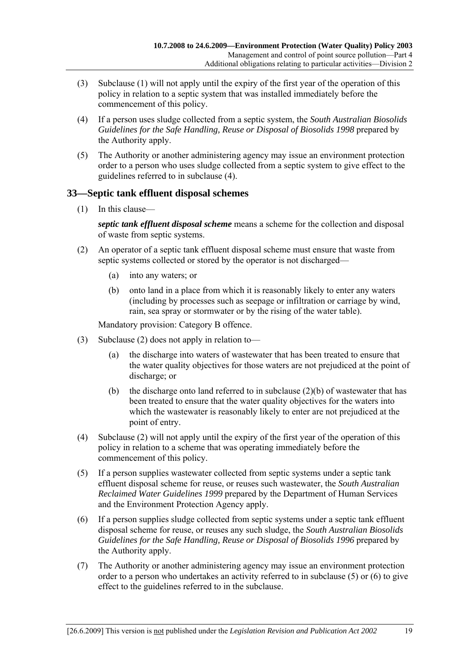- (3) Subclause (1) will not apply until the expiry of the first year of the operation of this policy in relation to a septic system that was installed immediately before the commencement of this policy.
- (4) If a person uses sludge collected from a septic system, the *South Australian Biosolids Guidelines for the Safe Handling, Reuse or Disposal of Biosolids 1998* prepared by the Authority apply.
- (5) The Authority or another administering agency may issue an environment protection order to a person who uses sludge collected from a septic system to give effect to the guidelines referred to in subclause (4).

### **33—Septic tank effluent disposal schemes**

 $(1)$  In this clause—

*septic tank effluent disposal scheme* means a scheme for the collection and disposal of waste from septic systems.

- (2) An operator of a septic tank effluent disposal scheme must ensure that waste from septic systems collected or stored by the operator is not discharged—
	- (a) into any waters; or
	- (b) onto land in a place from which it is reasonably likely to enter any waters (including by processes such as seepage or infiltration or carriage by wind, rain, sea spray or stormwater or by the rising of the water table).

Mandatory provision: Category B offence.

- (3) Subclause (2) does not apply in relation to—
	- (a) the discharge into waters of wastewater that has been treated to ensure that the water quality objectives for those waters are not prejudiced at the point of discharge; or
	- (b) the discharge onto land referred to in subclause  $(2)(b)$  of wastewater that has been treated to ensure that the water quality objectives for the waters into which the wastewater is reasonably likely to enter are not prejudiced at the point of entry.
- (4) Subclause (2) will not apply until the expiry of the first year of the operation of this policy in relation to a scheme that was operating immediately before the commencement of this policy.
- (5) If a person supplies wastewater collected from septic systems under a septic tank effluent disposal scheme for reuse, or reuses such wastewater, the *South Australian Reclaimed Water Guidelines 1999* prepared by the Department of Human Services and the Environment Protection Agency apply.
- (6) If a person supplies sludge collected from septic systems under a septic tank effluent disposal scheme for reuse, or reuses any such sludge, the *South Australian Biosolids Guidelines for the Safe Handling, Reuse or Disposal of Biosolids 1996* prepared by the Authority apply.
- (7) The Authority or another administering agency may issue an environment protection order to a person who undertakes an activity referred to in subclause (5) or (6) to give effect to the guidelines referred to in the subclause.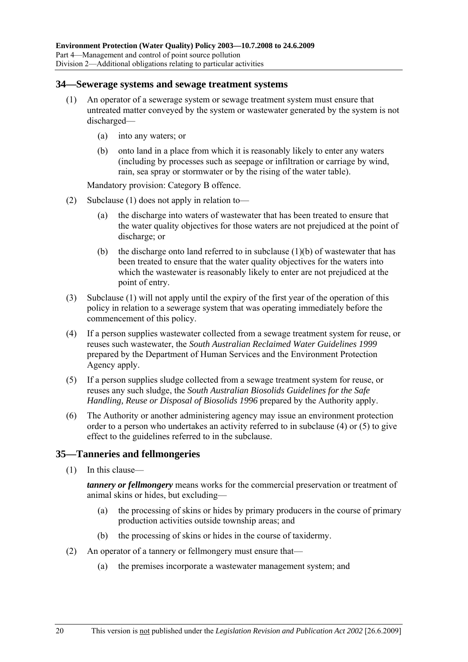#### **34—Sewerage systems and sewage treatment systems**

- (1) An operator of a sewerage system or sewage treatment system must ensure that untreated matter conveyed by the system or wastewater generated by the system is not discharged—
	- (a) into any waters; or
	- (b) onto land in a place from which it is reasonably likely to enter any waters (including by processes such as seepage or infiltration or carriage by wind, rain, sea spray or stormwater or by the rising of the water table).

Mandatory provision: Category B offence.

- (2) Subclause (1) does not apply in relation to—
	- (a) the discharge into waters of wastewater that has been treated to ensure that the water quality objectives for those waters are not prejudiced at the point of discharge; or
	- (b) the discharge onto land referred to in subclause  $(1)(b)$  of wastewater that has been treated to ensure that the water quality objectives for the waters into which the wastewater is reasonably likely to enter are not prejudiced at the point of entry.
- (3) Subclause (1) will not apply until the expiry of the first year of the operation of this policy in relation to a sewerage system that was operating immediately before the commencement of this policy.
- (4) If a person supplies wastewater collected from a sewage treatment system for reuse, or reuses such wastewater, the *South Australian Reclaimed Water Guidelines 1999* prepared by the Department of Human Services and the Environment Protection Agency apply.
- (5) If a person supplies sludge collected from a sewage treatment system for reuse, or reuses any such sludge, the *South Australian Biosolids Guidelines for the Safe Handling, Reuse or Disposal of Biosolids 1996* prepared by the Authority apply.
- (6) The Authority or another administering agency may issue an environment protection order to a person who undertakes an activity referred to in subclause (4) or (5) to give effect to the guidelines referred to in the subclause.

#### **35—Tanneries and fellmongeries**

 $(1)$  In this clause—

*tannery or fellmongery* means works for the commercial preservation or treatment of animal skins or hides, but excluding-

- (a) the processing of skins or hides by primary producers in the course of primary production activities outside township areas; and
- (b) the processing of skins or hides in the course of taxidermy.
- (2) An operator of a tannery or fellmongery must ensure that—
	- (a) the premises incorporate a wastewater management system; and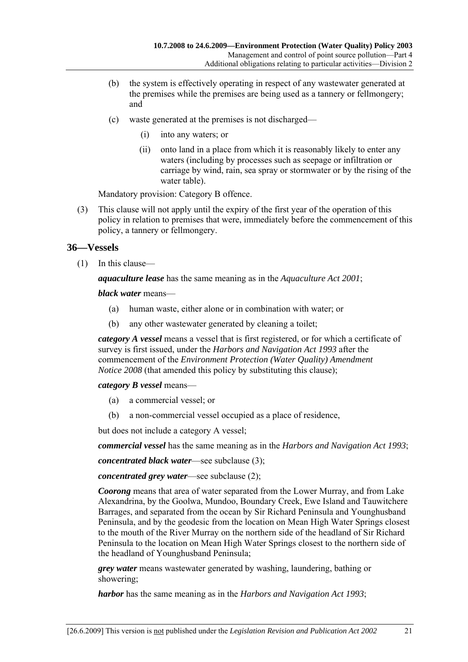- (b) the system is effectively operating in respect of any wastewater generated at the premises while the premises are being used as a tannery or fellmongery; and
- $(c)$  waste generated at the premises is not discharged—
	- (i) into any waters; or
	- (ii) onto land in a place from which it is reasonably likely to enter any waters (including by processes such as seepage or infiltration or carriage by wind, rain, sea spray or stormwater or by the rising of the water table).

Mandatory provision: Category B offence.

 (3) This clause will not apply until the expiry of the first year of the operation of this policy in relation to premises that were, immediately before the commencement of this policy, a tannery or fellmongery.

### **36—Vessels**

 $(1)$  In this clause—

*aquaculture lease* has the same meaning as in the *Aquaculture Act 2001*;

*black water* means—

- (a) human waste, either alone or in combination with water; or
- (b) any other wastewater generated by cleaning a toilet;

*category A vessel* means a vessel that is first registered, or for which a certificate of survey is first issued, under the *Harbors and Navigation Act 1993* after the commencement of the *Environment Protection (Water Quality) Amendment Notice 2008* (that amended this policy by substituting this clause);

#### *category B vessel* means—

- (a) a commercial vessel; or
- (b) a non-commercial vessel occupied as a place of residence,

but does not include a category A vessel;

*commercial vessel* has the same meaning as in the *Harbors and Navigation Act 1993*;

*concentrated black water*—see subclause (3);

*concentrated grey water*—see subclause (2);

*Coorong* means that area of water separated from the Lower Murray, and from Lake Alexandrina, by the Goolwa, Mundoo, Boundary Creek, Ewe Island and Tauwitchere Barrages, and separated from the ocean by Sir Richard Peninsula and Younghusband Peninsula, and by the geodesic from the location on Mean High Water Springs closest to the mouth of the River Murray on the northern side of the headland of Sir Richard Peninsula to the location on Mean High Water Springs closest to the northern side of the headland of Younghusband Peninsula;

*grey water* means wastewater generated by washing, laundering, bathing or showering;

*harbor* has the same meaning as in the *Harbors and Navigation Act 1993*;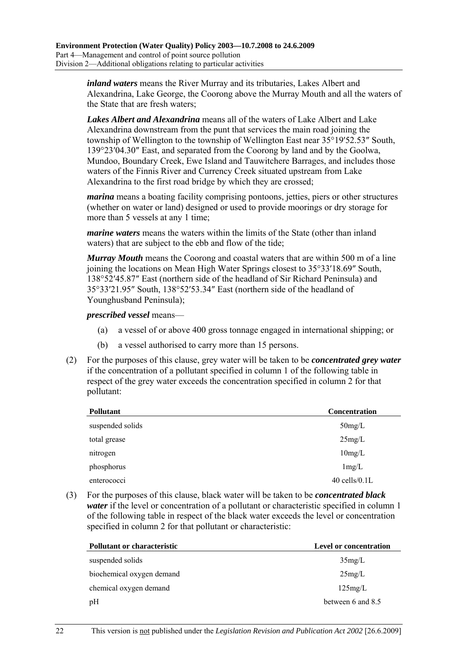*inland waters* means the River Murray and its tributaries, Lakes Albert and Alexandrina, Lake George, the Coorong above the Murray Mouth and all the waters of the State that are fresh waters;

*Lakes Albert and Alexandrina* means all of the waters of Lake Albert and Lake Alexandrina downstream from the punt that services the main road joining the township of Wellington to the township of Wellington East near 35°19′52.53″ South, 139°23′04.30″ East, and separated from the Coorong by land and by the Goolwa, Mundoo, Boundary Creek, Ewe Island and Tauwitchere Barrages, and includes those waters of the Finnis River and Currency Creek situated upstream from Lake Alexandrina to the first road bridge by which they are crossed;

*marina* means a boating facility comprising pontoons, jetties, piers or other structures (whether on water or land) designed or used to provide moorings or dry storage for more than 5 vessels at any 1 time;

*marine waters* means the waters within the limits of the State (other than inland waters) that are subject to the ebb and flow of the tide;

*Murray Mouth* means the Coorong and coastal waters that are within 500 m of a line joining the locations on Mean High Water Springs closest to 35°33′18.69″ South, 138°52′45.87″ East (northern side of the headland of Sir Richard Peninsula) and 35°33′21.95″ South, 138°52′53.34″ East (northern side of the headland of Younghusband Peninsula);

#### *prescribed vessel* means—

- (a) a vessel of or above 400 gross tonnage engaged in international shipping; or
- (b) a vessel authorised to carry more than 15 persons.
- (2) For the purposes of this clause, grey water will be taken to be *concentrated grey water* if the concentration of a pollutant specified in column 1 of the following table in respect of the grey water exceeds the concentration specified in column 2 for that pollutant:

| <b>Pollutant</b> | <b>Concentration</b> |
|------------------|----------------------|
| suspended solids | $50$ mg/L            |
| total grease     | 25mg/L               |
| nitrogen         | 10mg/L               |
| phosphorus       | 1mg/L                |
| enterococci      | $40$ cells/ $0.1L$   |

 (3) For the purposes of this clause, black water will be taken to be *concentrated black water* if the level or concentration of a pollutant or characteristic specified in column 1 of the following table in respect of the black water exceeds the level or concentration specified in column 2 for that pollutant or characteristic:

| <b>Pollutant or characteristic</b> | <b>Level or concentration</b> |
|------------------------------------|-------------------------------|
| suspended solids                   | 35mg/L                        |
| biochemical oxygen demand          | 25mg/L                        |
| chemical oxygen demand             | 125mg/L                       |
| pH                                 | between 6 and 8.5             |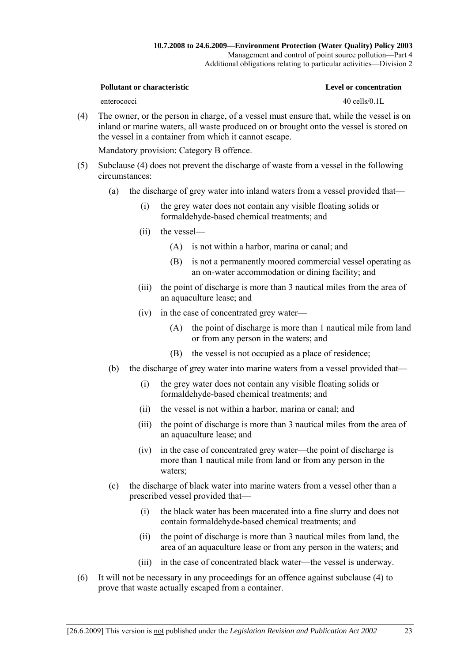| Pollutant or characteristic | Level or concentration |
|-----------------------------|------------------------|
| enterococci                 | $40$ cells/ $0.1L$     |

 (4) The owner, or the person in charge, of a vessel must ensure that, while the vessel is on inland or marine waters, all waste produced on or brought onto the vessel is stored on the vessel in a container from which it cannot escape.

Mandatory provision: Category B offence.

- (5) Subclause (4) does not prevent the discharge of waste from a vessel in the following circumstances:
	- (a) the discharge of grey water into inland waters from a vessel provided that—
		- (i) the grey water does not contain any visible floating solids or formaldehyde-based chemical treatments; and
		- $(ii)$  the vessel—
			- (A) is not within a harbor, marina or canal; and
			- (B) is not a permanently moored commercial vessel operating as an on-water accommodation or dining facility; and
		- (iii) the point of discharge is more than 3 nautical miles from the area of an aquaculture lease; and
		- $(iv)$  in the case of concentrated grey water—
			- (A) the point of discharge is more than 1 nautical mile from land or from any person in the waters; and
			- (B) the vessel is not occupied as a place of residence;
	- (b) the discharge of grey water into marine waters from a vessel provided that—
		- (i) the grey water does not contain any visible floating solids or formaldehyde-based chemical treatments; and
		- (ii) the vessel is not within a harbor, marina or canal; and
		- (iii) the point of discharge is more than 3 nautical miles from the area of an aquaculture lease; and
		- $(iv)$  in the case of concentrated grey water—the point of discharge is more than 1 nautical mile from land or from any person in the waters:
	- (c) the discharge of black water into marine waters from a vessel other than a prescribed vessel provided that—
		- (i) the black water has been macerated into a fine slurry and does not contain formaldehyde-based chemical treatments; and
		- (ii) the point of discharge is more than 3 nautical miles from land, the area of an aquaculture lease or from any person in the waters; and
		- (iii) in the case of concentrated black water—the vessel is underway.
- (6) It will not be necessary in any proceedings for an offence against subclause (4) to prove that waste actually escaped from a container.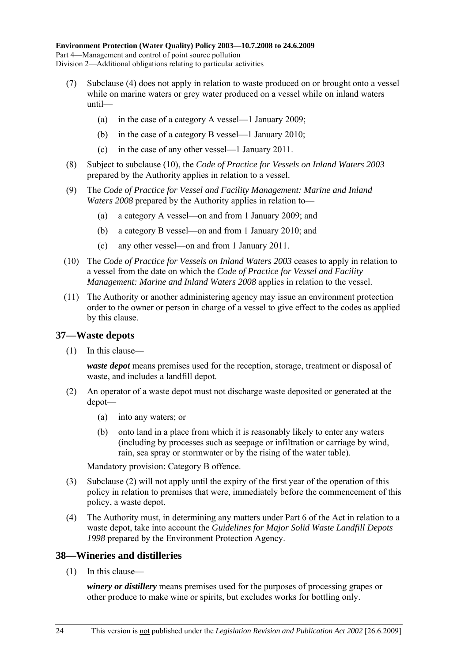- (7) Subclause (4) does not apply in relation to waste produced on or brought onto a vessel while on marine waters or grey water produced on a vessel while on inland waters  $until$ 
	- (a) in the case of a category A vessel—1 January 2009;
	- (b) in the case of a category B vessel—1 January 2010;
	- (c) in the case of any other vessel— $1$  January 2011.
- (8) Subject to subclause (10), the *Code of Practice for Vessels on Inland Waters 2003* prepared by the Authority applies in relation to a vessel.
- (9) The *Code of Practice for Vessel and Facility Management: Marine and Inland Waters 2008* prepared by the Authority applies in relation to—
	- (a) a category A vessel—on and from 1 January 2009; and
	- (b) a category B vessel—on and from 1 January 2010; and
	- (c) any other vessel—on and from 1 January 2011.
- (10) The *Code of Practice for Vessels on Inland Waters 2003* ceases to apply in relation to a vessel from the date on which the *Code of Practice for Vessel and Facility Management: Marine and Inland Waters 2008* applies in relation to the vessel.
- (11) The Authority or another administering agency may issue an environment protection order to the owner or person in charge of a vessel to give effect to the codes as applied by this clause.

#### **37—Waste depots**

 $(1)$  In this clause—

*waste depot* means premises used for the reception, storage, treatment or disposal of waste, and includes a landfill depot.

- (2) An operator of a waste depot must not discharge waste deposited or generated at the depot-
	- (a) into any waters; or
	- (b) onto land in a place from which it is reasonably likely to enter any waters (including by processes such as seepage or infiltration or carriage by wind, rain, sea spray or stormwater or by the rising of the water table).

Mandatory provision: Category B offence.

- (3) Subclause (2) will not apply until the expiry of the first year of the operation of this policy in relation to premises that were, immediately before the commencement of this policy, a waste depot.
- (4) The Authority must, in determining any matters under Part 6 of the Act in relation to a waste depot, take into account the *Guidelines for Major Solid Waste Landfill Depots 1998* prepared by the Environment Protection Agency.

#### **38—Wineries and distilleries**

 $(1)$  In this clause—

*winery or distillery* means premises used for the purposes of processing grapes or other produce to make wine or spirits, but excludes works for bottling only.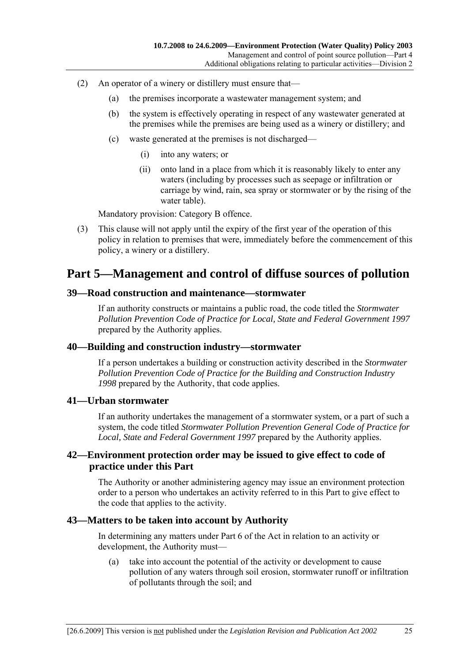- (2) An operator of a winery or distillery must ensure that—
	- (a) the premises incorporate a wastewater management system; and
	- (b) the system is effectively operating in respect of any wastewater generated at the premises while the premises are being used as a winery or distillery; and
	- $(c)$  waste generated at the premises is not discharged—
		- (i) into any waters; or
		- (ii) onto land in a place from which it is reasonably likely to enter any waters (including by processes such as seepage or infiltration or carriage by wind, rain, sea spray or stormwater or by the rising of the water table).

Mandatory provision: Category B offence.

 (3) This clause will not apply until the expiry of the first year of the operation of this policy in relation to premises that were, immediately before the commencement of this policy, a winery or a distillery.

## **Part 5—Management and control of diffuse sources of pollution**

#### **39—Road construction and maintenance—stormwater**

If an authority constructs or maintains a public road, the code titled the *Stormwater Pollution Prevention Code of Practice for Local, State and Federal Government 1997* prepared by the Authority applies.

#### **40—Building and construction industry—stormwater**

If a person undertakes a building or construction activity described in the *Stormwater Pollution Prevention Code of Practice for the Building and Construction Industry 1998* prepared by the Authority, that code applies.

#### **41—Urban stormwater**

If an authority undertakes the management of a stormwater system, or a part of such a system, the code titled *Stormwater Pollution Prevention General Code of Practice for Local, State and Federal Government 1997* prepared by the Authority applies.

#### **42—Environment protection order may be issued to give effect to code of practice under this Part**

The Authority or another administering agency may issue an environment protection order to a person who undertakes an activity referred to in this Part to give effect to the code that applies to the activity.

#### **43—Matters to be taken into account by Authority**

In determining any matters under Part 6 of the Act in relation to an activity or development, the Authority must-

 (a) take into account the potential of the activity or development to cause pollution of any waters through soil erosion, stormwater runoff or infiltration of pollutants through the soil; and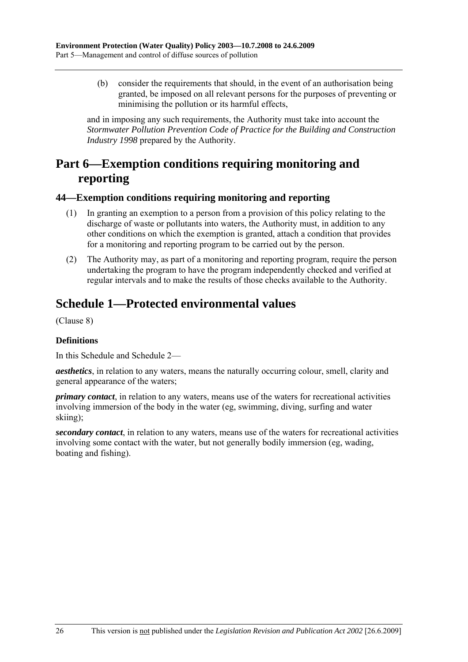(b) consider the requirements that should, in the event of an authorisation being granted, be imposed on all relevant persons for the purposes of preventing or minimising the pollution or its harmful effects,

and in imposing any such requirements, the Authority must take into account the *Stormwater Pollution Prevention Code of Practice for the Building and Construction Industry 1998* prepared by the Authority.

# **Part 6—Exemption conditions requiring monitoring and reporting**

#### **44—Exemption conditions requiring monitoring and reporting**

- (1) In granting an exemption to a person from a provision of this policy relating to the discharge of waste or pollutants into waters, the Authority must, in addition to any other conditions on which the exemption is granted, attach a condition that provides for a monitoring and reporting program to be carried out by the person.
- (2) The Authority may, as part of a monitoring and reporting program, require the person undertaking the program to have the program independently checked and verified at regular intervals and to make the results of those checks available to the Authority.

# **Schedule 1—Protected environmental values**

(Clause 8)

#### **Definitions**

In this Schedule and Schedule 2—

*aesthetics*, in relation to any waters, means the naturally occurring colour, smell, clarity and general appearance of the waters;

*primary contact*, in relation to any waters, means use of the waters for recreational activities involving immersion of the body in the water (eg, swimming, diving, surfing and water skiing);

*secondary contact*, in relation to any waters, means use of the waters for recreational activities involving some contact with the water, but not generally bodily immersion (eg, wading, boating and fishing).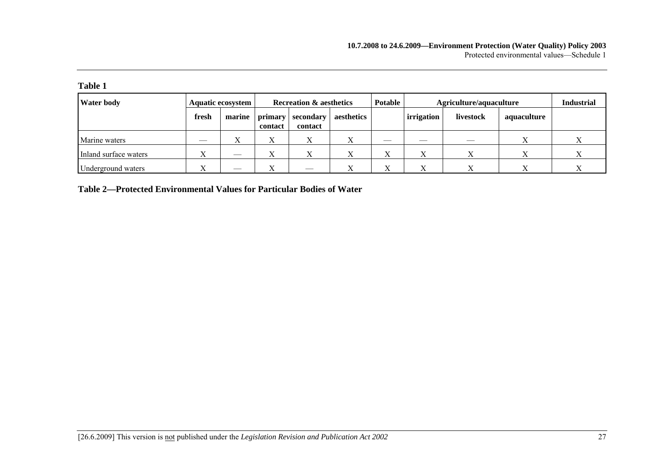| anıe |  |
|------|--|
|      |  |

| <b>Water body</b>     |       | <b>Aquatic ecosystem</b> | <b>Recreation &amp; aesthetics</b> |                      |            | <b>Potable</b> |            | Agriculture/aquaculture |             |  |  |
|-----------------------|-------|--------------------------|------------------------------------|----------------------|------------|----------------|------------|-------------------------|-------------|--|--|
|                       | fresh | marine                   | primary<br>contact                 | secondary<br>contact | aesthetics |                | irrigation | livestock               | aquaculture |  |  |
| Marine waters         |       | $\Lambda$                |                                    |                      |            |                |            |                         |             |  |  |
| Inland surface waters |       |                          |                                    |                      |            | △              |            |                         |             |  |  |
| Underground waters    | T     |                          |                                    | $-$                  | $\lambda$  | △              |            |                         |             |  |  |

**Table 2—Protected Environmental Values for Particular Bodies of Water**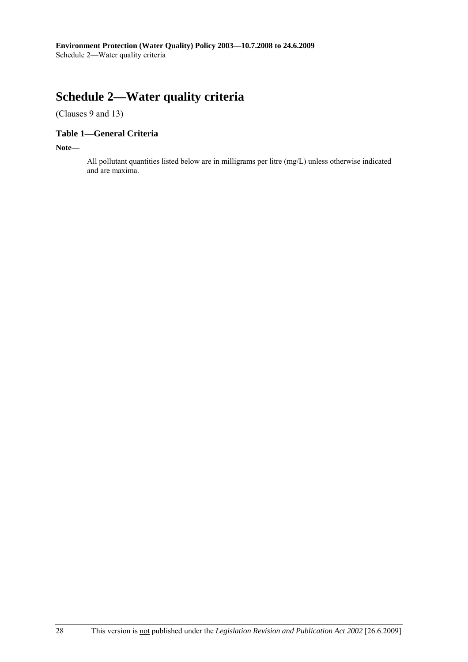# **Schedule 2—Water quality criteria**

(Clauses 9 and 13)

### **Table 1—General Criteria**

**Note—** 

All pollutant quantities listed below are in milligrams per litre (mg/L) unless otherwise indicated and are maxima.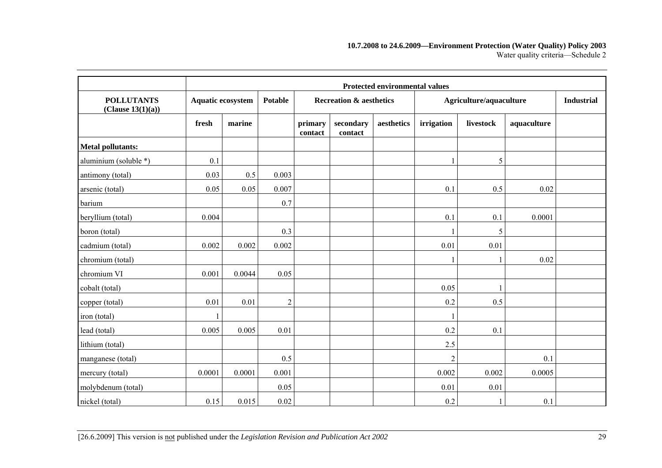#### **10.7.2008 to 24.6.2009—Environment Protection (Water Quality) Policy 2003**  Water quality criteria-Schedule 2

|                                        |        | <b>Protected environmental values</b> |                |                    |                                    |            |                |                         |             |  |  |  |  |  |
|----------------------------------------|--------|---------------------------------------|----------------|--------------------|------------------------------------|------------|----------------|-------------------------|-------------|--|--|--|--|--|
| <b>POLLUTANTS</b><br>(Clause 13(1)(a)) |        | <b>Aquatic ecosystem</b>              |                |                    | <b>Recreation &amp; aesthetics</b> |            |                | Agriculture/aquaculture |             |  |  |  |  |  |
|                                        | fresh  | marine                                |                | primary<br>contact | secondary<br>contact               | aesthetics | irrigation     | livestock               | aquaculture |  |  |  |  |  |
| <b>Metal pollutants:</b>               |        |                                       |                |                    |                                    |            |                |                         |             |  |  |  |  |  |
| aluminium (soluble *)                  | 0.1    |                                       |                |                    |                                    |            |                | 5                       |             |  |  |  |  |  |
| antimony (total)                       | 0.03   | 0.5                                   | 0.003          |                    |                                    |            |                |                         |             |  |  |  |  |  |
| arsenic (total)                        | 0.05   | 0.05                                  | 0.007          |                    |                                    |            | 0.1            | 0.5                     | 0.02        |  |  |  |  |  |
| barium                                 |        |                                       | 0.7            |                    |                                    |            |                |                         |             |  |  |  |  |  |
| beryllium (total)                      | 0.004  |                                       |                |                    |                                    |            | 0.1            | 0.1                     | 0.0001      |  |  |  |  |  |
| boron (total)                          |        |                                       | 0.3            |                    |                                    |            |                | 5                       |             |  |  |  |  |  |
| cadmium (total)                        | 0.002  | 0.002                                 | 0.002          |                    |                                    |            | 0.01           | 0.01                    |             |  |  |  |  |  |
| chromium (total)                       |        |                                       |                |                    |                                    |            |                |                         | 0.02        |  |  |  |  |  |
| chromium VI                            | 0.001  | 0.0044                                | 0.05           |                    |                                    |            |                |                         |             |  |  |  |  |  |
| cobalt (total)                         |        |                                       |                |                    |                                    |            | 0.05           |                         |             |  |  |  |  |  |
| copper (total)                         | 0.01   | 0.01                                  | $\overline{2}$ |                    |                                    |            | 0.2            | 0.5                     |             |  |  |  |  |  |
| iron (total)                           |        |                                       |                |                    |                                    |            |                |                         |             |  |  |  |  |  |
| lead (total)                           | 0.005  | 0.005                                 | 0.01           |                    |                                    |            | 0.2            | 0.1                     |             |  |  |  |  |  |
| lithium (total)                        |        |                                       |                |                    |                                    |            | 2.5            |                         |             |  |  |  |  |  |
| manganese (total)                      |        |                                       | 0.5            |                    |                                    |            | $\overline{2}$ |                         | 0.1         |  |  |  |  |  |
| mercury (total)                        | 0.0001 | 0.0001                                | 0.001          |                    |                                    |            | 0.002          | 0.002                   | 0.0005      |  |  |  |  |  |
| molybdenum (total)                     |        |                                       | 0.05           |                    |                                    |            | 0.01           | 0.01                    |             |  |  |  |  |  |
| nickel (total)                         | 0.15   | 0.015                                 | 0.02           |                    |                                    |            | 0.2            | 1                       | 0.1         |  |  |  |  |  |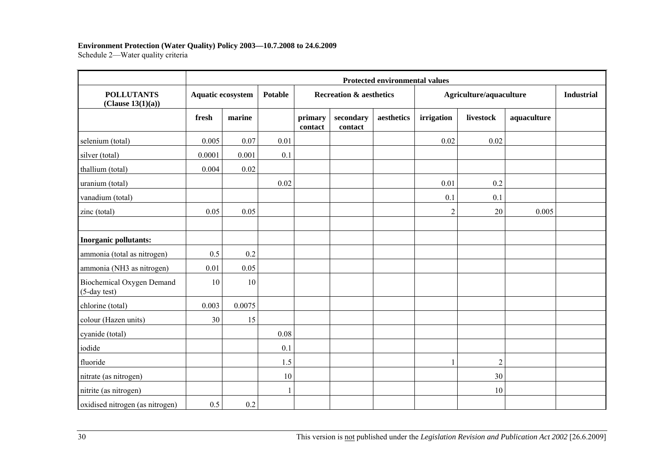#### **Environment Protection (Water Quality) Policy 2003—10.7.2008 to 24.6.2009**

Schedule 2-Water quality criteria

|                                              | <b>Protected environmental values</b> |                          |              |                    |                                    |            |                |                         |             |  |  |  |
|----------------------------------------------|---------------------------------------|--------------------------|--------------|--------------------|------------------------------------|------------|----------------|-------------------------|-------------|--|--|--|
| <b>POLLUTANTS</b><br>(Clause 13(1)(a))       |                                       | <b>Aquatic ecosystem</b> |              |                    | <b>Recreation &amp; aesthetics</b> |            |                | Agriculture/aquaculture |             |  |  |  |
|                                              | fresh                                 | marine                   |              | primary<br>contact | secondary<br>contact               | aesthetics | irrigation     | livestock               | aquaculture |  |  |  |
| selenium (total)                             | 0.005                                 | 0.07                     | 0.01         |                    |                                    |            | 0.02           | 0.02                    |             |  |  |  |
| silver (total)                               | 0.0001                                | 0.001                    | 0.1          |                    |                                    |            |                |                         |             |  |  |  |
| thallium (total)                             | 0.004                                 | 0.02                     |              |                    |                                    |            |                |                         |             |  |  |  |
| uranium (total)                              |                                       |                          | 0.02         |                    |                                    |            | 0.01           | 0.2                     |             |  |  |  |
| vanadium (total)                             |                                       |                          |              |                    |                                    |            | 0.1            | 0.1                     |             |  |  |  |
| zinc (total)                                 | 0.05                                  | 0.05                     |              |                    |                                    |            | $\overline{2}$ | 20                      | 0.005       |  |  |  |
| Inorganic pollutants:                        |                                       |                          |              |                    |                                    |            |                |                         |             |  |  |  |
| ammonia (total as nitrogen)                  | 0.5                                   | 0.2                      |              |                    |                                    |            |                |                         |             |  |  |  |
| ammonia (NH3 as nitrogen)                    | 0.01                                  | 0.05                     |              |                    |                                    |            |                |                         |             |  |  |  |
| Biochemical Oxygen Demand<br>$(5$ -day test) | 10                                    | 10                       |              |                    |                                    |            |                |                         |             |  |  |  |
| chlorine (total)                             | 0.003                                 | 0.0075                   |              |                    |                                    |            |                |                         |             |  |  |  |
| colour (Hazen units)                         | 30                                    | 15                       |              |                    |                                    |            |                |                         |             |  |  |  |
| cyanide (total)                              |                                       |                          | 0.08         |                    |                                    |            |                |                         |             |  |  |  |
| iodide                                       |                                       |                          | 0.1          |                    |                                    |            |                |                         |             |  |  |  |
| fluoride                                     |                                       |                          | 1.5          |                    |                                    |            | 1              | $\overline{2}$          |             |  |  |  |
| nitrate (as nitrogen)                        |                                       |                          | 10           |                    |                                    |            |                | 30                      |             |  |  |  |
| nitrite (as nitrogen)                        |                                       |                          | $\mathbf{1}$ |                    |                                    |            |                | 10                      |             |  |  |  |
| oxidised nitrogen (as nitrogen)              | 0.5                                   | 0.2                      |              |                    |                                    |            |                |                         |             |  |  |  |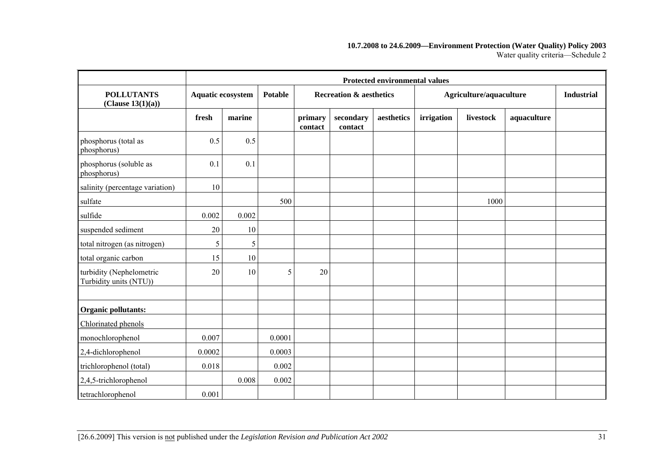#### **10.7.2008 to 24.6.2009—Environment Protection (Water Quality) Policy 2003**  Water quality criteria-Schedule 2

|                                                             | <b>Protected environmental values</b> |        |                |                    |                                    |            |                         |           |             |                   |  |
|-------------------------------------------------------------|---------------------------------------|--------|----------------|--------------------|------------------------------------|------------|-------------------------|-----------|-------------|-------------------|--|
| <b>POLLUTANTS</b><br>Aquatic ecosystem<br>(Clause 13(1)(a)) |                                       |        | <b>Potable</b> |                    | <b>Recreation &amp; aesthetics</b> |            | Agriculture/aquaculture |           |             | <b>Industrial</b> |  |
|                                                             | fresh                                 | marine |                | primary<br>contact | secondary<br>contact               | aesthetics | irrigation              | livestock | aquaculture |                   |  |
| phosphorus (total as<br>phosphorus)                         | 0.5                                   | 0.5    |                |                    |                                    |            |                         |           |             |                   |  |
| phosphorus (soluble as<br>phosphorus)                       | 0.1                                   | 0.1    |                |                    |                                    |            |                         |           |             |                   |  |
| salinity (percentage variation)                             | 10                                    |        |                |                    |                                    |            |                         |           |             |                   |  |
| sulfate                                                     |                                       |        | 500            |                    |                                    |            |                         | 1000      |             |                   |  |
| sulfide                                                     | 0.002                                 | 0.002  |                |                    |                                    |            |                         |           |             |                   |  |
| suspended sediment                                          | 20                                    | 10     |                |                    |                                    |            |                         |           |             |                   |  |
| total nitrogen (as nitrogen)                                | 5                                     | 5      |                |                    |                                    |            |                         |           |             |                   |  |
| total organic carbon                                        | 15                                    | 10     |                |                    |                                    |            |                         |           |             |                   |  |
| turbidity (Nephelometric<br>Turbidity units (NTU))          | 20                                    | 10     | 5              | 20                 |                                    |            |                         |           |             |                   |  |
|                                                             |                                       |        |                |                    |                                    |            |                         |           |             |                   |  |
| <b>Organic pollutants:</b>                                  |                                       |        |                |                    |                                    |            |                         |           |             |                   |  |
| Chlorinated phenols                                         |                                       |        |                |                    |                                    |            |                         |           |             |                   |  |
| monochlorophenol                                            | 0.007                                 |        | 0.0001         |                    |                                    |            |                         |           |             |                   |  |
| 2,4-dichlorophenol                                          | 0.0002                                |        | 0.0003         |                    |                                    |            |                         |           |             |                   |  |
| trichlorophenol (total)                                     | 0.018                                 |        | 0.002          |                    |                                    |            |                         |           |             |                   |  |
| 2,4,5-trichlorophenol                                       |                                       | 0.008  | 0.002          |                    |                                    |            |                         |           |             |                   |  |
| tetrachlorophenol                                           | 0.001                                 |        |                |                    |                                    |            |                         |           |             |                   |  |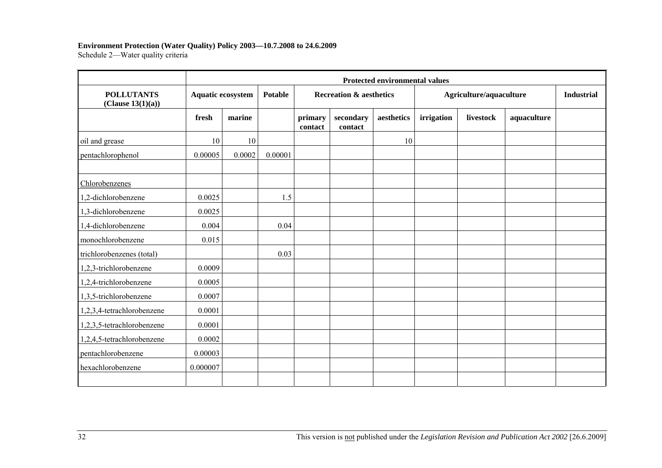#### **Environment Protection (Water Quality) Policy 2003—10.7.2008 to 24.6.2009**

Schedule 2-Water quality criteria

|                                        | <b>Protected environmental values</b> |        |                |                    |                                    |            |            |                         |             |  |
|----------------------------------------|---------------------------------------|--------|----------------|--------------------|------------------------------------|------------|------------|-------------------------|-------------|--|
| <b>POLLUTANTS</b><br>(Clause 13(1)(a)) | <b>Aquatic ecosystem</b>              |        | <b>Potable</b> |                    | <b>Recreation &amp; aesthetics</b> |            |            | Agriculture/aquaculture |             |  |
|                                        | fresh                                 | marine |                | primary<br>contact | secondary<br>contact               | aesthetics | irrigation | livestock               | aquaculture |  |
| oil and grease                         | 10                                    | 10     |                |                    |                                    | 10         |            |                         |             |  |
| pentachlorophenol                      | 0.00005                               | 0.0002 | 0.00001        |                    |                                    |            |            |                         |             |  |
| Chlorobenzenes                         |                                       |        |                |                    |                                    |            |            |                         |             |  |
| 1,2-dichlorobenzene                    | 0.0025                                |        | 1.5            |                    |                                    |            |            |                         |             |  |
| 1,3-dichlorobenzene                    | 0.0025                                |        |                |                    |                                    |            |            |                         |             |  |
| 1,4-dichlorobenzene                    | 0.004                                 |        | 0.04           |                    |                                    |            |            |                         |             |  |
| monochlorobenzene                      | 0.015                                 |        |                |                    |                                    |            |            |                         |             |  |
| trichlorobenzenes (total)              |                                       |        | 0.03           |                    |                                    |            |            |                         |             |  |
| 1,2,3-trichlorobenzene                 | 0.0009                                |        |                |                    |                                    |            |            |                         |             |  |
| 1,2,4-trichlorobenzene                 | 0.0005                                |        |                |                    |                                    |            |            |                         |             |  |
| 1,3,5-trichlorobenzene                 | 0.0007                                |        |                |                    |                                    |            |            |                         |             |  |
| 1,2,3,4-tetrachlorobenzene             | 0.0001                                |        |                |                    |                                    |            |            |                         |             |  |
| 1,2,3,5-tetrachlorobenzene             | 0.0001                                |        |                |                    |                                    |            |            |                         |             |  |
| 1,2,4,5-tetrachlorobenzene             | 0.0002                                |        |                |                    |                                    |            |            |                         |             |  |
| pentachlorobenzene                     | 0.00003                               |        |                |                    |                                    |            |            |                         |             |  |
| hexachlorobenzene                      | 0.000007                              |        |                |                    |                                    |            |            |                         |             |  |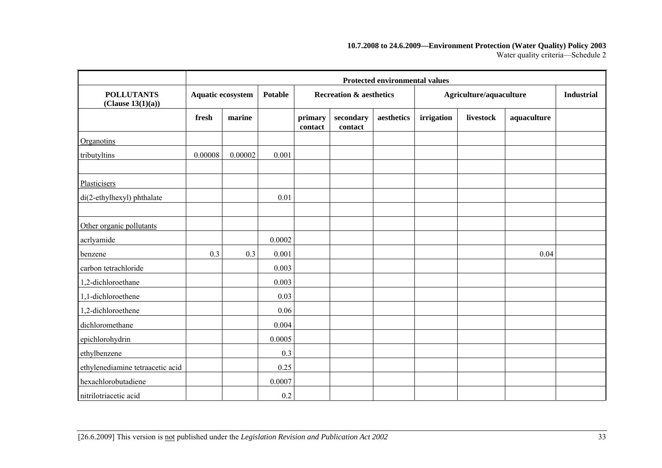#### **10.7.2008 to 24.6.2009—Environment Protection (Water Quality) Policy 2003**  Water quality criteria-Schedule 2

|                                        | <b>Protected environmental values</b> |         |        |                                                      |                      |            |                         |                   |             |  |  |
|----------------------------------------|---------------------------------------|---------|--------|------------------------------------------------------|----------------------|------------|-------------------------|-------------------|-------------|--|--|
| <b>POLLUTANTS</b><br>(Clause 13(1)(a)) | <b>Aquatic ecosystem</b>              |         |        | <b>Potable</b><br><b>Recreation &amp; aesthetics</b> |                      |            | Agriculture/aquaculture | <b>Industrial</b> |             |  |  |
|                                        | fresh                                 | marine  |        | primary<br>contact                                   | secondary<br>contact | aesthetics | irrigation              | livestock         | aquaculture |  |  |
| Organotins                             |                                       |         |        |                                                      |                      |            |                         |                   |             |  |  |
| tributyltins                           | 0.00008                               | 0.00002 | 0.001  |                                                      |                      |            |                         |                   |             |  |  |
|                                        |                                       |         |        |                                                      |                      |            |                         |                   |             |  |  |
| Plasticisers                           |                                       |         |        |                                                      |                      |            |                         |                   |             |  |  |
| di(2-ethylhexyl) phthalate             |                                       |         | 0.01   |                                                      |                      |            |                         |                   |             |  |  |
|                                        |                                       |         |        |                                                      |                      |            |                         |                   |             |  |  |
| Other organic pollutants               |                                       |         |        |                                                      |                      |            |                         |                   |             |  |  |
| acrlyamide                             |                                       |         | 0.0002 |                                                      |                      |            |                         |                   |             |  |  |
| benzene                                | 0.3                                   | 0.3     | 0.001  |                                                      |                      |            |                         |                   | 0.04        |  |  |
| carbon tetrachloride                   |                                       |         | 0.003  |                                                      |                      |            |                         |                   |             |  |  |
| 1,2-dichloroethane                     |                                       |         | 0.003  |                                                      |                      |            |                         |                   |             |  |  |
| 1,1-dichloroethene                     |                                       |         | 0.03   |                                                      |                      |            |                         |                   |             |  |  |
| 1,2-dichloroethene                     |                                       |         | 0.06   |                                                      |                      |            |                         |                   |             |  |  |
| dichloromethane                        |                                       |         | 0.004  |                                                      |                      |            |                         |                   |             |  |  |
| epichlorohydrin                        |                                       |         | 0.0005 |                                                      |                      |            |                         |                   |             |  |  |
| ethylbenzene                           |                                       |         | 0.3    |                                                      |                      |            |                         |                   |             |  |  |
| ethylenediamine tetraacetic acid       |                                       |         | 0.25   |                                                      |                      |            |                         |                   |             |  |  |
| hexachlorobutadiene                    |                                       |         | 0.0007 |                                                      |                      |            |                         |                   |             |  |  |
| nitrilotriacetic acid                  |                                       |         | 0.2    |                                                      |                      |            |                         |                   |             |  |  |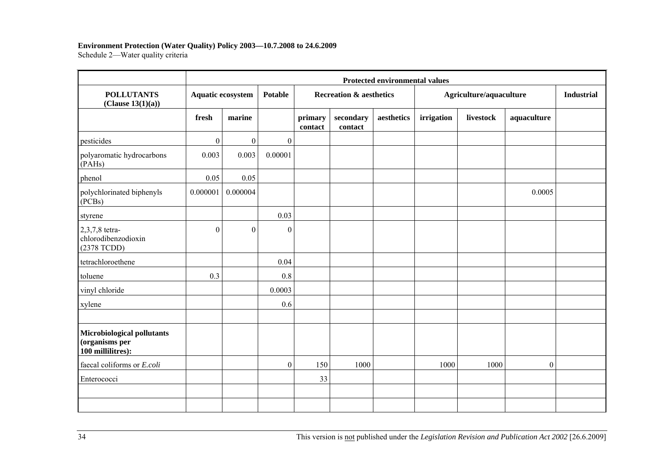#### **Environment Protection (Water Quality) Policy 2003—10.7.2008 to 24.6.2009**

Schedule 2-Water quality criteria

|                                                                   | <b>Protected environmental values</b> |                  |                  |                    |                                    |            |            |                         |              |  |  |  |
|-------------------------------------------------------------------|---------------------------------------|------------------|------------------|--------------------|------------------------------------|------------|------------|-------------------------|--------------|--|--|--|
| <b>POLLUTANTS</b><br>(Clause 13(1)(a))                            | Aquatic ecosystem                     |                  | Potable          |                    | <b>Recreation &amp; aesthetics</b> |            |            | Agriculture/aquaculture |              |  |  |  |
|                                                                   | fresh                                 | marine           |                  | primary<br>contact | secondary<br>contact               | aesthetics | irrigation | livestock               | aquaculture  |  |  |  |
| pesticides                                                        | $\boldsymbol{0}$                      | $\mathbf{0}$     | $\mathbf{0}$     |                    |                                    |            |            |                         |              |  |  |  |
| polyaromatic hydrocarbons<br>(PAHs)                               | 0.003                                 | 0.003            | 0.00001          |                    |                                    |            |            |                         |              |  |  |  |
| phenol                                                            | 0.05                                  | 0.05             |                  |                    |                                    |            |            |                         |              |  |  |  |
| polychlorinated biphenyls<br>(PCBs)                               | 0.000001                              | 0.000004         |                  |                    |                                    |            |            |                         | 0.0005       |  |  |  |
| styrene                                                           |                                       |                  | 0.03             |                    |                                    |            |            |                         |              |  |  |  |
| 2,3,7,8 tetra-<br>chlorodibenzodioxin<br>(2378 TCDD)              | $\theta$                              | $\boldsymbol{0}$ | $\boldsymbol{0}$ |                    |                                    |            |            |                         |              |  |  |  |
| tetrachloroethene                                                 |                                       |                  | 0.04             |                    |                                    |            |            |                         |              |  |  |  |
| toluene                                                           | 0.3                                   |                  | 0.8              |                    |                                    |            |            |                         |              |  |  |  |
| vinyl chloride                                                    |                                       |                  | 0.0003           |                    |                                    |            |            |                         |              |  |  |  |
| xylene                                                            |                                       |                  | 0.6              |                    |                                    |            |            |                         |              |  |  |  |
| Microbiological pollutants<br>(organisms per<br>100 millilitres): |                                       |                  |                  |                    |                                    |            |            |                         |              |  |  |  |
| faecal coliforms or E.coli                                        |                                       |                  | $\boldsymbol{0}$ | 150                | 1000                               |            | 1000       | 1000                    | $\mathbf{0}$ |  |  |  |
| Enterococci                                                       |                                       |                  |                  | 33                 |                                    |            |            |                         |              |  |  |  |
|                                                                   |                                       |                  |                  |                    |                                    |            |            |                         |              |  |  |  |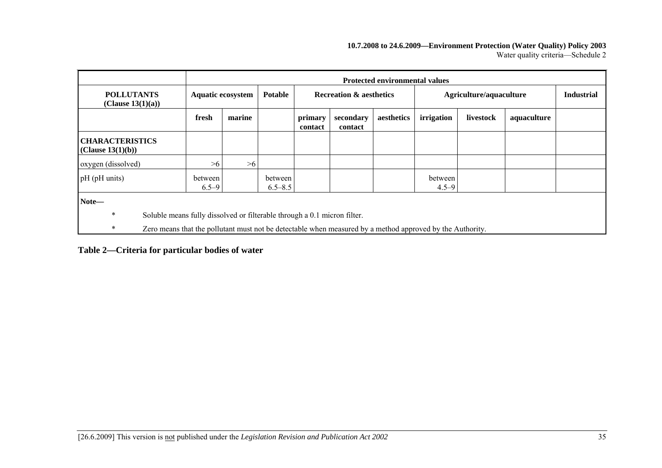#### **10.7.2008 to 24.6.2009—Environment Protection (Water Quality) Policy 2003**  Water quality criteria-Schedule 2

|                                                                                                                                                                                                                    |                          | <b>Protected environmental values</b> |                        |                                    |                      |            |                         |           |             |                   |
|--------------------------------------------------------------------------------------------------------------------------------------------------------------------------------------------------------------------|--------------------------|---------------------------------------|------------------------|------------------------------------|----------------------|------------|-------------------------|-----------|-------------|-------------------|
| <b>POLLUTANTS</b><br>(Clause $13(1)(a)$ )                                                                                                                                                                          | <b>Aquatic ecosystem</b> |                                       | <b>Potable</b>         | <b>Recreation &amp; aesthetics</b> |                      |            | Agriculture/aquaculture |           |             | <b>Industrial</b> |
|                                                                                                                                                                                                                    | fresh                    | marine                                |                        | primary<br>contact                 | secondary<br>contact | aesthetics | irrigation              | livestock | aquaculture |                   |
| <b>CHARACTERISTICS</b><br>(Clause 13(1)(b))                                                                                                                                                                        |                          |                                       |                        |                                    |                      |            |                         |           |             |                   |
| oxygen (dissolved)                                                                                                                                                                                                 | >6                       | >6                                    |                        |                                    |                      |            |                         |           |             |                   |
| pH (pH units)                                                                                                                                                                                                      | between<br>$6.5 - 9$     |                                       | between<br>$6.5 - 8.5$ |                                    |                      |            | between<br>$4.5 - 9$    |           |             |                   |
| Note-<br>$\ast$<br>Soluble means fully dissolved or filterable through a 0.1 micron filter.<br>$\ast$<br>Zero means that the pollutant must not be detectable when measured by a method approved by the Authority. |                          |                                       |                        |                                    |                      |            |                         |           |             |                   |

**Table 2—Criteria for particular bodies of water**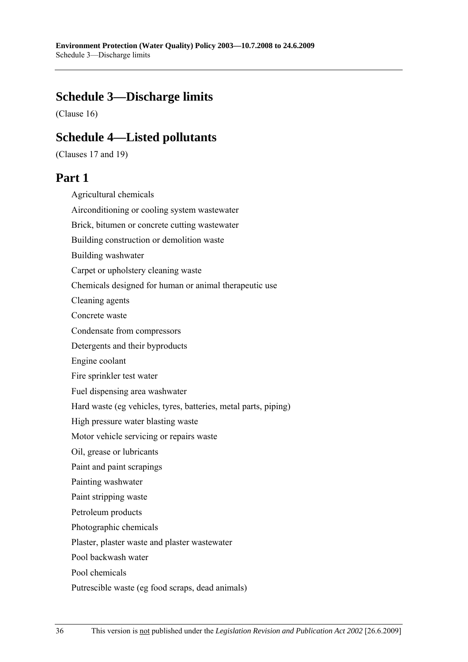# **Schedule 3—Discharge limits**

(Clause 16)

## **Schedule 4—Listed pollutants**

(Clauses 17 and 19)

## **Part 1**

Agricultural chemicals Airconditioning or cooling system wastewater Brick, bitumen or concrete cutting wastewater Building construction or demolition waste Building washwater Carpet or upholstery cleaning waste Chemicals designed for human or animal therapeutic use Cleaning agents Concrete waste Condensate from compressors Detergents and their byproducts Engine coolant Fire sprinkler test water Fuel dispensing area washwater Hard waste (eg vehicles, tyres, batteries, metal parts, piping) High pressure water blasting waste Motor vehicle servicing or repairs waste Oil, grease or lubricants Paint and paint scrapings Painting washwater Paint stripping waste Petroleum products Photographic chemicals Plaster, plaster waste and plaster wastewater Pool backwash water Pool chemicals Putrescible waste (eg food scraps, dead animals)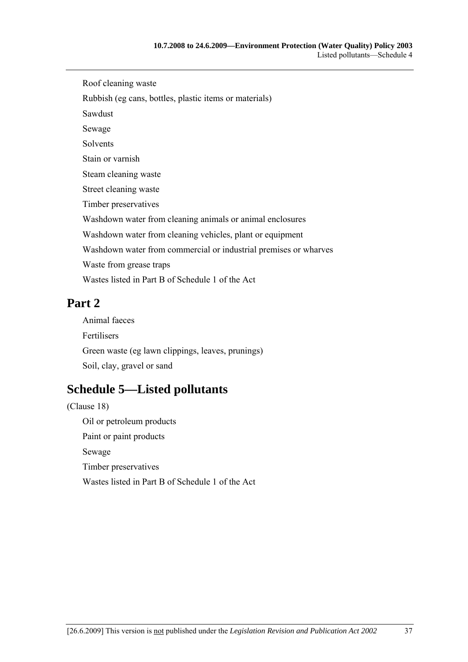Roof cleaning waste Rubbish (eg cans, bottles, plastic items or materials) Sawdust Sewage Solvents Stain or varnish Steam cleaning waste Street cleaning waste Timber preservatives Washdown water from cleaning animals or animal enclosures Washdown water from cleaning vehicles, plant or equipment Washdown water from commercial or industrial premises or wharves Waste from grease traps Wastes listed in Part B of Schedule 1 of the Act

# **Part 2**

Animal faeces Fertilisers Green waste (eg lawn clippings, leaves, prunings) Soil, clay, gravel or sand

# **Schedule 5—Listed pollutants**

(Clause 18) Oil or petroleum products Paint or paint products Sewage Timber preservatives Wastes listed in Part B of Schedule 1 of the Act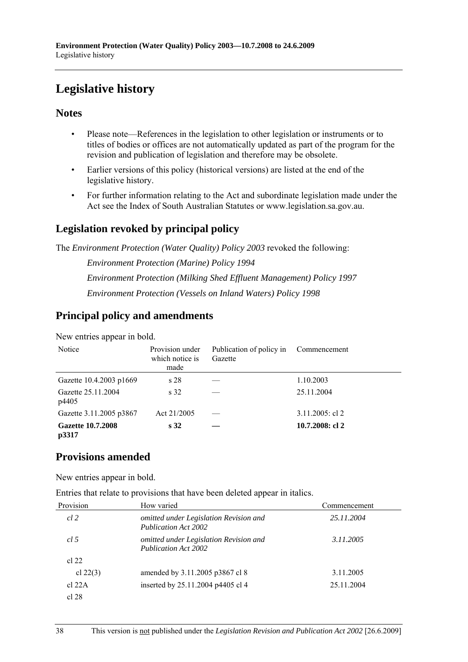# **Legislative history**

## **Notes**

- Please note—References in the legislation to other legislation or instruments or to titles of bodies or offices are not automatically updated as part of the program for the revision and publication of legislation and therefore may be obsolete.
- Earlier versions of this policy (historical versions) are listed at the end of the legislative history.
- For further information relating to the Act and subordinate legislation made under the Act see the Index of South Australian Statutes or www.legislation.sa.gov.au.

## **Legislation revoked by principal policy**

The *Environment Protection (Water Quality) Policy 2003* revoked the following:

*Environment Protection (Marine) Policy 1994 Environment Protection (Milking Shed Effluent Management) Policy 1997 Environment Protection (Vessels on Inland Waters) Policy 1998*

## **Principal policy and amendments**

New entries appear in bold.

| Notice                            | Provision under<br>which notice is<br>made | Publication of policy in<br>Gazette | Commencement       |
|-----------------------------------|--------------------------------------------|-------------------------------------|--------------------|
| Gazette 10.4.2003 p1669           | s <sub>28</sub>                            |                                     | 1.10.2003          |
| Gazette 25.11.2004<br>p4405       | s <sub>32</sub>                            |                                     | 25.11.2004         |
| Gazette 3.11.2005 p3867           | Act 21/2005                                |                                     | $3.11.2005$ : cl 2 |
| <b>Gazette 10.7.2008</b><br>p3317 | s <sub>32</sub>                            |                                     | 10.7.2008: cl 2    |

## **Provisions amended**

New entries appear in bold.

Entries that relate to provisions that have been deleted appear in italics.

| Provision  | How varied                                                            | Commencement |  |  |
|------------|-----------------------------------------------------------------------|--------------|--|--|
| $cl$ 2     | omitted under Legislation Revision and<br><b>Publication Act 2002</b> | 25.11.2004   |  |  |
| cl.5       | omitted under Legislation Revision and<br>Publication Act 2002        | 3.11.2005    |  |  |
| cl 22      |                                                                       |              |  |  |
| cl $22(3)$ | amended by 3.11.2005 p3867 cl 8                                       | 3.11.2005    |  |  |
| cl $22A$   | inserted by 25.11.2004 p4405 cl 4                                     | 25.11.2004   |  |  |
| cl 28      |                                                                       |              |  |  |